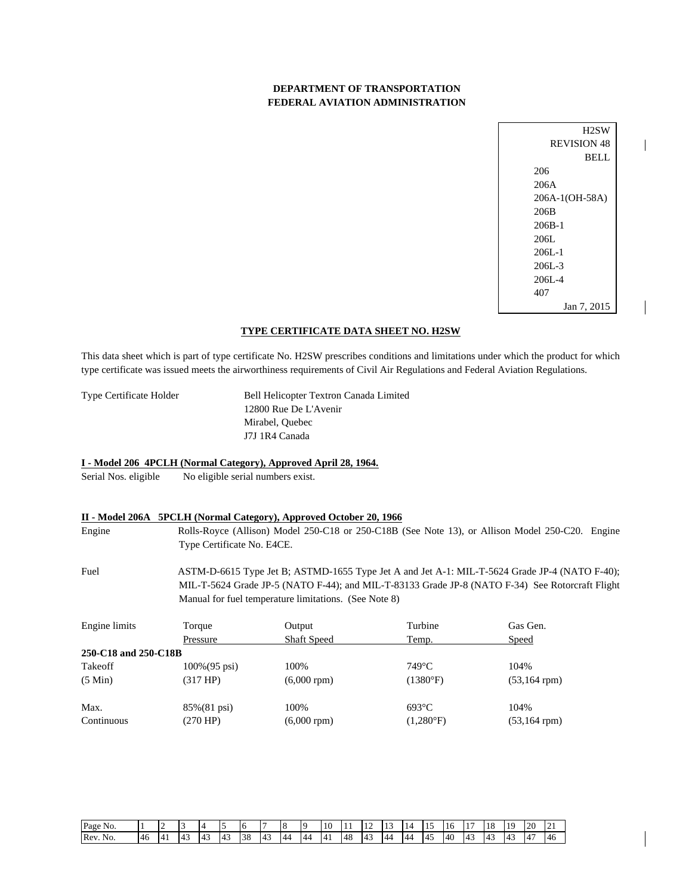## **DEPARTMENT OF TRANSPORTATION FEDERAL AVIATION ADMINISTRATION**

H2SW REVISION 48 BELL 206 206A 206A-1(OH-58A) 206B 206B-1 206L 206L-1 206L-3 206L-4 407 Jan 7, 2015

 $\overline{\phantom{a}}$ 

### **TYPE CERTIFICATE DATA SHEET NO. H2SW**

This data sheet which is part of type certificate No. H2SW prescribes conditions and limitations under which the product for which type certificate was issued meets the airworthiness requirements of Civil Air Regulations and Federal Aviation Regulations.

Type Certificate Holder Bell Helicopter Textron Canada Limited 12800 Rue De L'Avenir Mirabel, Quebec J7J 1R4 Canada

### **I - Model 206 4PCLH (Normal Category), Approved April 28, 1964.**

Serial Nos. eligible No eligible serial numbers exist.

### **II - Model 206A 5PCLH (Normal Category), Approved October 20, 1966**

Engine Rolls-Royce (Allison) Model 250-C18 or 250-C18B (See Note 13), or Allison Model 250-C20. Engine Type Certificate No. E4CE.

Fuel ASTM-D-6615 Type Jet B; ASTMD-1655 Type Jet A and Jet A-1: MIL-T-5624 Grade JP-4 (NATO F-40); MIL-T-5624 Grade JP-5 (NATO F-44); and MIL-T-83133 Grade JP-8 (NATO F-34) See Rotorcraft Flight Manual for fuel temperature limitations. (See Note 8)

| Engine limits        | Torque                   | Output             | Turbine            | Gas Gen.           |
|----------------------|--------------------------|--------------------|--------------------|--------------------|
|                      | Pressure                 | <b>Shaft Speed</b> | Temp.              | <b>Speed</b>       |
| 250-C18 and 250-C18B |                          |                    |                    |                    |
| Takeoff              | $100\% (95 \text{ psi})$ | 100\%              | $749^{\circ}$ C    | 104%               |
| $(5 \text{ Min})$    | (317 HP)                 | $(6,000$ rpm $)$   | (1380°F)           | $(53, 164$ rpm)    |
| Max.                 | $85\%(81 \text{ psi})$   | 100%               | $693^{\circ}$ C    | 104%               |
| Continuous           | (270 HP)                 | $(6,000$ rpm $)$   | $(1,280^{\circ}F)$ | $(53, 164$ rpm $)$ |

| Page No. |     |                |     |                     |     | 16 |    | $\circ$        | $\Omega$       | 10 | $\pm$ | -- | 15             | LΔ<br>. . | -<br>-15  | 16 | 17 | 18                | 1 <sub>O</sub><br>л. | 20                    | 21<br>∸          |
|----------|-----|----------------|-----|---------------------|-----|----|----|----------------|----------------|----|-------|----|----------------|-----------|-----------|----|----|-------------------|----------------------|-----------------------|------------------|
| Rev. No. | -46 | $\overline{a}$ | '43 | $\cdot$ 4 $\hat{ }$ | -43 | 38 | 43 | $\Delta\Delta$ | $\Delta\Delta$ | 14 | 48    | 43 | $\Delta\Delta$ | -44       | <b>45</b> | 40 | 43 | $14^\circ$<br>. . | ۰4<br>╌              | $\overline{a}$<br>. д | $\sqrt{2}$<br>46 |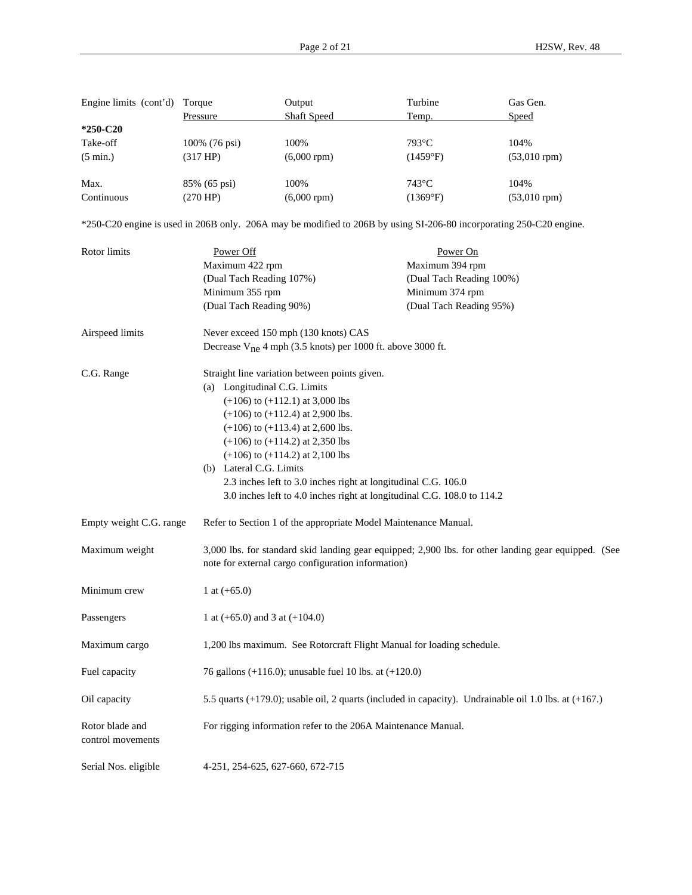| Engine limits (cont'd) | Torque        | Output             | Turbine         | Gas Gen.          |
|------------------------|---------------|--------------------|-----------------|-------------------|
|                        | Pressure      | <b>Shaft Speed</b> | Temp.           | <b>Speed</b>      |
| $*250-C20$             |               |                    |                 |                   |
| Take-off               | 100% (76 psi) | 100%               | $793^{\circ}$ C | 104%              |
| $(5 \text{ min.})$     | (317 HP)      | $(6,000$ rpm $)$   | (1459°F)        | $(53,010$ rpm $)$ |
| Max.                   | 85% (65 psi)  | 100%               | $743^{\circ}$ C | 104%              |
| Continuous             | (270 HP)      | $(6,000$ rpm $)$   | (1369°F)        | $(53,010$ rpm $)$ |

\*250-C20 engine is used in 206B only. 206A may be modified to 206B by using SI-206-80 incorporating 250-C20 engine.

| Rotor limits                         | Power Off                                                                                                                                 | Power On                                                                                                   |  |  |  |  |  |  |
|--------------------------------------|-------------------------------------------------------------------------------------------------------------------------------------------|------------------------------------------------------------------------------------------------------------|--|--|--|--|--|--|
|                                      | Maximum 422 rpm                                                                                                                           | Maximum 394 rpm                                                                                            |  |  |  |  |  |  |
|                                      | (Dual Tach Reading 107%)                                                                                                                  | (Dual Tach Reading 100%)                                                                                   |  |  |  |  |  |  |
|                                      | Minimum 355 rpm                                                                                                                           | Minimum 374 rpm                                                                                            |  |  |  |  |  |  |
|                                      | (Dual Tach Reading 90%)                                                                                                                   | (Dual Tach Reading 95%)                                                                                    |  |  |  |  |  |  |
| Airspeed limits                      | Never exceed 150 mph (130 knots) CAS                                                                                                      |                                                                                                            |  |  |  |  |  |  |
|                                      | Decrease $V_{ne}$ 4 mph (3.5 knots) per 1000 ft. above 3000 ft.                                                                           |                                                                                                            |  |  |  |  |  |  |
| C.G. Range                           | Straight line variation between points given.                                                                                             |                                                                                                            |  |  |  |  |  |  |
|                                      | (a) Longitudinal C.G. Limits                                                                                                              |                                                                                                            |  |  |  |  |  |  |
|                                      | $(+106)$ to $(+112.1)$ at 3,000 lbs                                                                                                       |                                                                                                            |  |  |  |  |  |  |
|                                      | $(+106)$ to $(+112.4)$ at 2,900 lbs.                                                                                                      |                                                                                                            |  |  |  |  |  |  |
|                                      | $(+106)$ to $(+113.4)$ at 2,600 lbs.                                                                                                      |                                                                                                            |  |  |  |  |  |  |
|                                      | $(+106)$ to $(+114.2)$ at 2,350 lbs                                                                                                       |                                                                                                            |  |  |  |  |  |  |
|                                      | $(+106)$ to $(+114.2)$ at 2,100 lbs                                                                                                       |                                                                                                            |  |  |  |  |  |  |
|                                      | (b) Lateral C.G. Limits                                                                                                                   |                                                                                                            |  |  |  |  |  |  |
|                                      | 2.3 inches left to 3.0 inches right at longitudinal C.G. 106.0<br>3.0 inches left to 4.0 inches right at longitudinal C.G. 108.0 to 114.2 |                                                                                                            |  |  |  |  |  |  |
|                                      |                                                                                                                                           |                                                                                                            |  |  |  |  |  |  |
| Empty weight C.G. range              | Refer to Section 1 of the appropriate Model Maintenance Manual.                                                                           |                                                                                                            |  |  |  |  |  |  |
| Maximum weight                       | note for external cargo configuration information)                                                                                        | 3,000 lbs. for standard skid landing gear equipped; 2,900 lbs. for other landing gear equipped. (See       |  |  |  |  |  |  |
| Minimum crew                         | 1 at $(+65.0)$                                                                                                                            |                                                                                                            |  |  |  |  |  |  |
| Passengers                           | 1 at $(+65.0)$ and 3 at $(+104.0)$                                                                                                        |                                                                                                            |  |  |  |  |  |  |
| Maximum cargo                        | 1,200 lbs maximum. See Rotorcraft Flight Manual for loading schedule.                                                                     |                                                                                                            |  |  |  |  |  |  |
| Fuel capacity                        | 76 gallons (+116.0); unusable fuel 10 lbs. at $(+120.0)$                                                                                  |                                                                                                            |  |  |  |  |  |  |
| Oil capacity                         |                                                                                                                                           | 5.5 quarts $(+179.0)$ ; usable oil, 2 quarts (included in capacity). Undrainable oil 1.0 lbs. at $(+167.)$ |  |  |  |  |  |  |
| Rotor blade and<br>control movements | For rigging information refer to the 206A Maintenance Manual.                                                                             |                                                                                                            |  |  |  |  |  |  |
| Serial Nos. eligible                 | 4-251, 254-625, 627-660, 672-715                                                                                                          |                                                                                                            |  |  |  |  |  |  |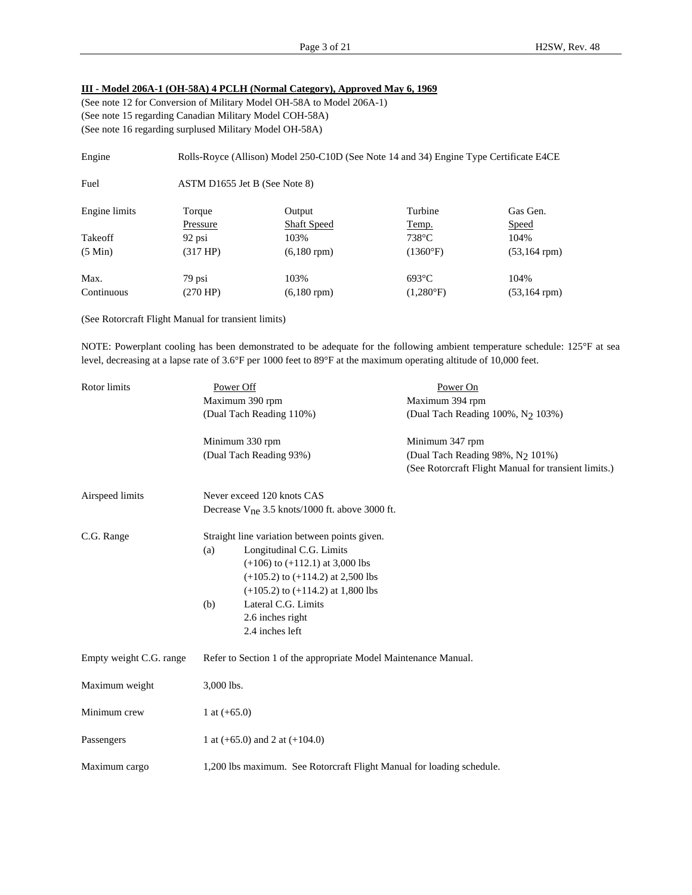# **III - Model 206A-1 (OH-58A) 4 PCLH (Normal Category), Approved May 6, 1969**

(See note 12 for Conversion of Military Model OH-58A to Model 206A-1) (See note 15 regarding Canadian Military Model COH-58A) (See note 16 regarding surplused Military Model OH-58A)

| Engine            |                               | Rolls-Royce (Allison) Model 250-C10D (See Note 14 and 34) Engine Type Certificate E4CE |                    |                    |
|-------------------|-------------------------------|----------------------------------------------------------------------------------------|--------------------|--------------------|
| Fuel              | ASTM D1655 Jet B (See Note 8) |                                                                                        |                    |                    |
| Engine limits     | Torque                        | Output                                                                                 | Turbine            | Gas Gen.           |
|                   | Pressure                      | <b>Shaft Speed</b>                                                                     | Temp.              | <b>Speed</b>       |
| Takeoff           | 92 psi                        | 103%                                                                                   | $738^{\circ}$ C    | 104%               |
| $(5 \text{ Min})$ | (317 HP)                      | $(6,180$ rpm $)$                                                                       | $(1360^{\circ}F)$  | $(53, 164$ rpm $)$ |
| Max.              | 79 psi                        | 103%                                                                                   | $693^{\circ}$ C    | 104%               |
| Continuous        | (270 HP)                      | $(6,180$ rpm $)$                                                                       | $(1,280^{\circ}F)$ | $(53, 164$ rpm $)$ |

(See Rotorcraft Flight Manual for transient limits)

NOTE: Powerplant cooling has been demonstrated to be adequate for the following ambient temperature schedule: 125°F at sea level, decreasing at a lapse rate of 3.6°F per 1000 feet to 89°F at the maximum operating altitude of 10,000 feet.

| Rotor limits            | Power Off                                                             | Power On                                             |
|-------------------------|-----------------------------------------------------------------------|------------------------------------------------------|
|                         | Maximum 390 rpm                                                       | Maximum 394 rpm                                      |
|                         | (Dual Tach Reading 110%)                                              | (Dual Tach Reading 100%, N <sub>2</sub> 103%)        |
|                         | Minimum 330 rpm                                                       | Minimum 347 rpm                                      |
|                         | (Dual Tach Reading 93%)                                               | (Dual Tach Reading 98%, N <sub>2</sub> 101%)         |
|                         |                                                                       | (See Rotorcraft Flight Manual for transient limits.) |
| Airspeed limits         | Never exceed 120 knots CAS                                            |                                                      |
|                         | Decrease $V_{ne}$ 3.5 knots/1000 ft. above 3000 ft.                   |                                                      |
| C.G. Range              | Straight line variation between points given.                         |                                                      |
|                         | Longitudinal C.G. Limits<br>(a)                                       |                                                      |
|                         | $(+106)$ to $(+112.1)$ at 3,000 lbs                                   |                                                      |
|                         | $(+105.2)$ to $(+114.2)$ at 2,500 lbs                                 |                                                      |
|                         | $(+105.2)$ to $(+114.2)$ at 1,800 lbs                                 |                                                      |
|                         | Lateral C.G. Limits<br>(b)                                            |                                                      |
|                         | 2.6 inches right                                                      |                                                      |
|                         | 2.4 inches left                                                       |                                                      |
| Empty weight C.G. range | Refer to Section 1 of the appropriate Model Maintenance Manual.       |                                                      |
| Maximum weight          | 3,000 lbs.                                                            |                                                      |
| Minimum crew            | 1 at $(+65.0)$                                                        |                                                      |
| Passengers              | 1 at $(+65.0)$ and 2 at $(+104.0)$                                    |                                                      |
| Maximum cargo           | 1,200 lbs maximum. See Rotorcraft Flight Manual for loading schedule. |                                                      |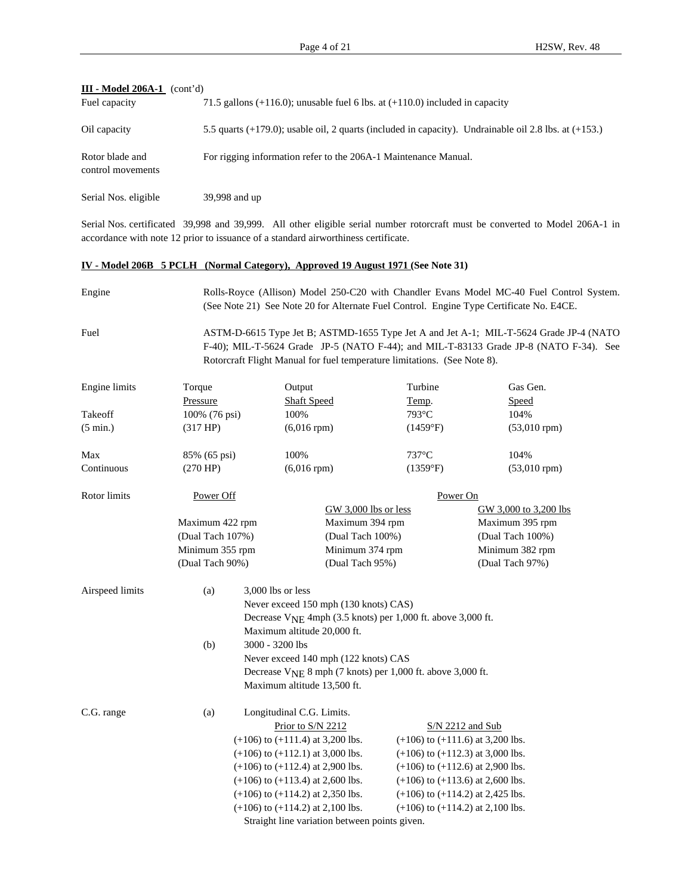| <b>III - Model 206A-1</b><br>(cont'd) |                                                                                                            |
|---------------------------------------|------------------------------------------------------------------------------------------------------------|
| Fuel capacity                         | 71.5 gallons $(+116.0)$ ; unusable fuel 6 lbs. at $(+110.0)$ included in capacity                          |
| Oil capacity                          | 5.5 quarts $(+179.0)$ ; usable oil, 2 quarts (included in capacity). Undrainable oil 2.8 lbs. at $(+153.)$ |
| Rotor blade and<br>control movements  | For rigging information refer to the 206A-1 Maintenance Manual.                                            |
| Serial Nos. eligible                  | 39,998 and up                                                                                              |

Serial Nos. certificated 39,998 and 39,999. All other eligible serial number rotorcraft must be converted to Model 206A-1 in accordance with note 12 prior to issuance of a standard airworthiness certificate.

### **IV - Model 206B 5 PCLH (Normal Category), Approved 19 August 1971 (See Note 31)**

Engine Rolls-Royce (Allison) Model 250-C20 with Chandler Evans Model MC-40 Fuel Control System. (See Note 21) See Note 20 for Alternate Fuel Control. Engine Type Certificate No. E4CE.

Fuel ASTM-D-6615 Type Jet B; ASTMD-1655 Type Jet A and Jet A-1; MIL-T-5624 Grade JP-4 (NATO F-40); MIL-T-5624 Grade JP-5 (NATO F-44); and MIL-T-83133 Grade JP-8 (NATO F-34). See Rotorcraft Flight Manual for fuel temperature limitations. (See Note 8).

| Engine limits      | Torque           | Output                               |                                                                         | Turbine                              | Gas Gen.              |  |  |  |  |
|--------------------|------------------|--------------------------------------|-------------------------------------------------------------------------|--------------------------------------|-----------------------|--|--|--|--|
|                    | Pressure         | <b>Shaft Speed</b>                   |                                                                         | Temp.                                | Speed                 |  |  |  |  |
| Takeoff            | 100% (76 psi)    | 100%                                 |                                                                         | 793°C                                | 104%                  |  |  |  |  |
| $(5 \text{ min.})$ | (317 HP)         | $(6,016$ rpm $)$                     |                                                                         | (1459°F)                             | $(53,010$ rpm $)$     |  |  |  |  |
| Max                | 85% (65 psi)     | 100%                                 |                                                                         | $737^{\circ}$ C                      | 104%                  |  |  |  |  |
| Continuous         | (270 HP)         | $(6,016$ rpm $)$                     |                                                                         | (1359°F)                             | $(53,010$ rpm $)$     |  |  |  |  |
| Rotor limits       | Power Off        |                                      |                                                                         | Power On                             |                       |  |  |  |  |
|                    |                  |                                      | GW 3,000 lbs or less                                                    |                                      | GW 3,000 to 3,200 lbs |  |  |  |  |
|                    | Maximum 422 rpm  |                                      | Maximum 394 rpm                                                         |                                      | Maximum 395 rpm       |  |  |  |  |
|                    | (Dual Tach 107%) |                                      | (Dual Tach 100%)                                                        |                                      | (Dual Tach 100%)      |  |  |  |  |
|                    | Minimum 355 rpm  |                                      | Minimum 374 rpm                                                         |                                      | Minimum 382 rpm       |  |  |  |  |
|                    | (Dual Tach 90%)  |                                      | (Dual Tach 95%)                                                         |                                      | (Dual Tach 97%)       |  |  |  |  |
| Airspeed limits    | (a)              | 3,000 lbs or less                    |                                                                         |                                      |                       |  |  |  |  |
|                    |                  |                                      | Never exceed 150 mph (130 knots) CAS)                                   |                                      |                       |  |  |  |  |
|                    |                  |                                      | Decrease V <sub>NE</sub> 4mph (3.5 knots) per 1,000 ft. above 3,000 ft. |                                      |                       |  |  |  |  |
|                    |                  |                                      | Maximum altitude 20,000 ft.                                             |                                      |                       |  |  |  |  |
|                    | (b)              | 3000 - 3200 lbs                      |                                                                         |                                      |                       |  |  |  |  |
|                    |                  |                                      | Never exceed 140 mph (122 knots) CAS                                    |                                      |                       |  |  |  |  |
|                    |                  |                                      | Decrease V <sub>NE</sub> 8 mph (7 knots) per 1,000 ft. above 3,000 ft.  |                                      |                       |  |  |  |  |
|                    |                  | Maximum altitude 13,500 ft.          |                                                                         |                                      |                       |  |  |  |  |
| C.G. range         | (a)              | Longitudinal C.G. Limits.            |                                                                         |                                      |                       |  |  |  |  |
|                    |                  | Prior to S/N 2212                    |                                                                         | $S/N$ 2212 and Sub                   |                       |  |  |  |  |
|                    |                  | $(+106)$ to $(+111.4)$ at 3,200 lbs. |                                                                         | $(+106)$ to $(+111.6)$ at 3,200 lbs. |                       |  |  |  |  |
|                    |                  | $(+106)$ to $(+112.1)$ at 3,000 lbs. |                                                                         | $(+106)$ to $(+112.3)$ at 3,000 lbs. |                       |  |  |  |  |
|                    |                  | $(+106)$ to $(+112.4)$ at 2,900 lbs. |                                                                         | $(+106)$ to $(+112.6)$ at 2,900 lbs. |                       |  |  |  |  |
|                    |                  | $(+106)$ to $(+113.4)$ at 2,600 lbs. |                                                                         | $(+106)$ to $(+113.6)$ at 2,600 lbs. |                       |  |  |  |  |
|                    |                  | $(+106)$ to $(+114.2)$ at 2,350 lbs. |                                                                         | $(+106)$ to $(+114.2)$ at 2,425 lbs. |                       |  |  |  |  |
|                    |                  | $(+106)$ to $(+114.2)$ at 2,100 lbs. |                                                                         | $(+106)$ to $(+114.2)$ at 2,100 lbs. |                       |  |  |  |  |
|                    |                  |                                      | Straight line variation between points given                            |                                      |                       |  |  |  |  |

Straight line variation between points given.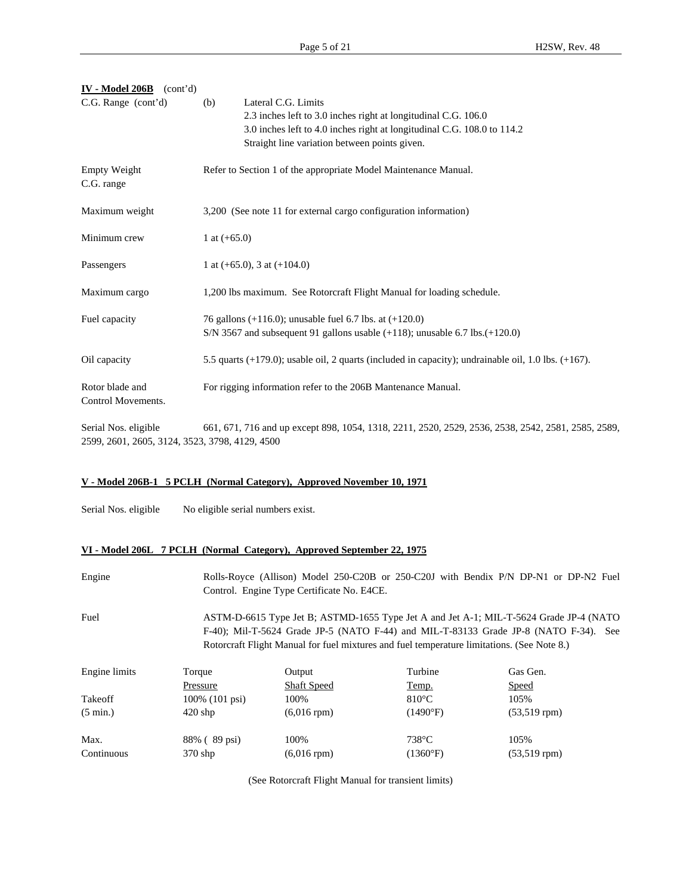| $IV - Model 206B$ (cont'd)                                             |                                                                                                           |
|------------------------------------------------------------------------|-----------------------------------------------------------------------------------------------------------|
| C.G. Range (cont'd)                                                    | Lateral C.G. Limits<br>(b)                                                                                |
|                                                                        | 2.3 inches left to 3.0 inches right at longitudinal C.G. 106.0                                            |
|                                                                        | 3.0 inches left to 4.0 inches right at longitudinal C.G. 108.0 to 114.2                                   |
|                                                                        | Straight line variation between points given.                                                             |
| Empty Weight<br>C.G. range                                             | Refer to Section 1 of the appropriate Model Maintenance Manual.                                           |
| Maximum weight                                                         | 3,200 (See note 11 for external cargo configuration information)                                          |
| Minimum crew                                                           | 1 at $(+65.0)$                                                                                            |
| Passengers                                                             | 1 at $(+65.0)$ , 3 at $(+104.0)$                                                                          |
| Maximum cargo                                                          | 1,200 lbs maximum. See Rotorcraft Flight Manual for loading schedule.                                     |
| Fuel capacity                                                          | 76 gallons (+116.0); unusable fuel 6.7 lbs. at $(+120.0)$                                                 |
|                                                                        | S/N 3567 and subsequent 91 gallons usable $(+118)$ ; unusable 6.7 lbs. $(+120.0)$                         |
| Oil capacity                                                           | 5.5 quarts $(+179.0)$ ; usable oil, 2 quarts (included in capacity); undrainable oil, 1.0 lbs. $(+167)$ . |
| Rotor blade and<br>Control Movements.                                  | For rigging information refer to the 206B Mantenance Manual.                                              |
| Serial Nos. eligible<br>2599, 2601, 2605, 3124, 3523, 3798, 4129, 4500 | 661, 671, 716 and up except 898, 1054, 1318, 2211, 2520, 2529, 2536, 2538, 2542, 2581, 2585, 2589,        |

## **V - Model 206B-1 5 PCLH (Normal Category), Approved November 10, 1971**

Serial Nos. eligible No eligible serial numbers exist.

### **VI - Model 206L 7 PCLH (Normal Category), Approved September 22, 1975**

| Engine             |                                                                                                                                                                                                                                                                              | Rolls-Royce (Allison) Model 250-C20B or 250-C20J with Bendix P/N DP-N1 or DP-N2 Fuel<br>Control. Engine Type Certificate No. E4CE. |                   |                    |  |  |  |  |  |  |  |
|--------------------|------------------------------------------------------------------------------------------------------------------------------------------------------------------------------------------------------------------------------------------------------------------------------|------------------------------------------------------------------------------------------------------------------------------------|-------------------|--------------------|--|--|--|--|--|--|--|
| Fuel               | ASTM-D-6615 Type Jet B; ASTMD-1655 Type Jet A and Jet A-1; MIL-T-5624 Grade JP-4 (NATO<br>F-40); Mil-T-5624 Grade JP-5 (NATO F-44) and MIL-T-83133 Grade JP-8 (NATO F-34). See<br>Rotorcraft Flight Manual for fuel mixtures and fuel temperature limitations. (See Note 8.) |                                                                                                                                    |                   |                    |  |  |  |  |  |  |  |
| Engine limits      | Torque                                                                                                                                                                                                                                                                       | Output                                                                                                                             | Turbine           | Gas Gen.           |  |  |  |  |  |  |  |
|                    | Pressure                                                                                                                                                                                                                                                                     | <b>Shaft Speed</b>                                                                                                                 | Temp.             | Speed              |  |  |  |  |  |  |  |
| Takeoff            | $100\%$ (101 psi)                                                                                                                                                                                                                                                            | 100%                                                                                                                               | $810^{\circ}$ C   | 105%               |  |  |  |  |  |  |  |
| $(5 \text{ min.})$ | $420$ shp                                                                                                                                                                                                                                                                    | $(6,016$ rpm $)$                                                                                                                   | $(1490^{\circ}F)$ | $(53, 519$ rpm $)$ |  |  |  |  |  |  |  |
| Max.               | 88% (89 psi)                                                                                                                                                                                                                                                                 | 100%                                                                                                                               | $738^{\circ}$ C   | 105%               |  |  |  |  |  |  |  |
| Continuous         | $370$ shp                                                                                                                                                                                                                                                                    | $(6,016$ rpm $)$                                                                                                                   | (1360°F)          | $(53, 519$ rpm $)$ |  |  |  |  |  |  |  |

(See Rotorcraft Flight Manual for transient limits)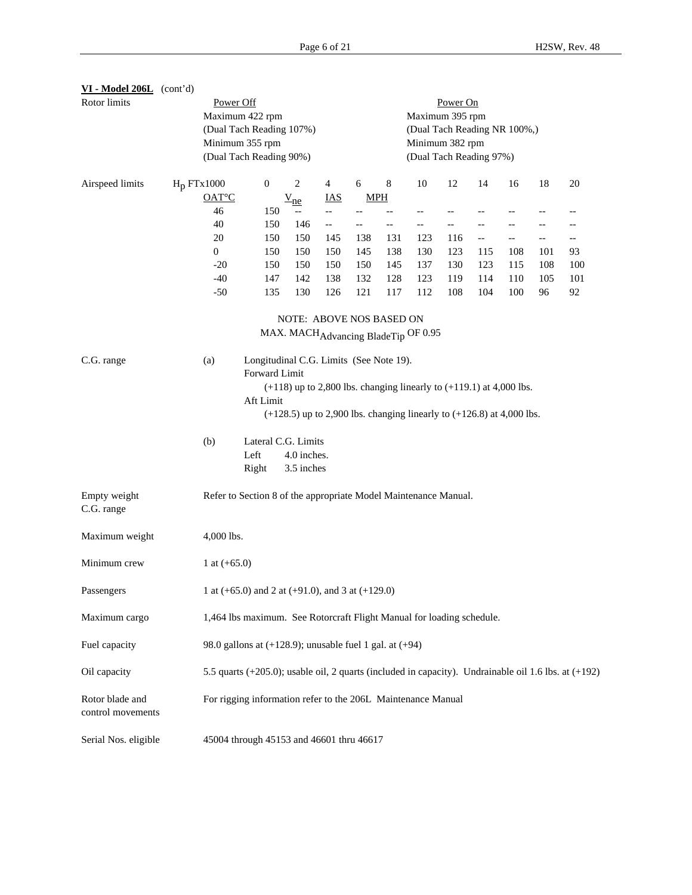| VI - Model 206L (cont'd)<br>Rotor limits |                                                                                                                                                                                                                                                                    | Power Off                                                                                            |               |  |                           |            | Power On                                                                                      |     |                                     |     |     |     |     |     |
|------------------------------------------|--------------------------------------------------------------------------------------------------------------------------------------------------------------------------------------------------------------------------------------------------------------------|------------------------------------------------------------------------------------------------------|---------------|--|---------------------------|------------|-----------------------------------------------------------------------------------------------|-----|-------------------------------------|-----|-----|-----|-----|-----|
|                                          |                                                                                                                                                                                                                                                                    | Maximum 422 rpm<br>(Dual Tach Reading 107%)<br>Minimum 355 rpm<br>(Dual Tach Reading 90%)            |               |  |                           |            | Maximum 395 rpm<br>(Dual Tach Reading NR 100%,)<br>Minimum 382 rpm<br>(Dual Tach Reading 97%) |     |                                     |     |     |     |     |     |
| Airspeed limits                          | H <sub>p</sub> FTx1000                                                                                                                                                                                                                                             |                                                                                                      | 0             |  | 2                         | 4          | 6                                                                                             | 8   | 10                                  | 12  | 14  | 16  | 18  | 20  |
|                                          |                                                                                                                                                                                                                                                                    | $OAT^{\circ}C$                                                                                       |               |  | $V_{ne}$                  | <b>IAS</b> | $MPH$                                                                                         |     |                                     |     |     |     |     |     |
|                                          |                                                                                                                                                                                                                                                                    | 46                                                                                                   | 150           |  | $\overline{\phantom{a}}$  | $-$        | $-$                                                                                           |     | $-$                                 | $-$ |     |     |     | --  |
|                                          |                                                                                                                                                                                                                                                                    | 40                                                                                                   | 150           |  | 146                       | $- -$      |                                                                                               | $-$ | $-$                                 | --  |     |     |     |     |
|                                          |                                                                                                                                                                                                                                                                    | 20                                                                                                   | 150           |  | 150                       | 145        | 138                                                                                           | 131 | 123                                 | 116 | --  | --  | --  | $-$ |
|                                          |                                                                                                                                                                                                                                                                    | $\mathbf{0}$                                                                                         | 150           |  | 150                       | 150        | 145                                                                                           | 138 | 130                                 | 123 | 115 | 108 | 101 | 93  |
|                                          |                                                                                                                                                                                                                                                                    | $-20$                                                                                                | 150           |  | 150                       | 150        | 150                                                                                           | 145 | 137                                 | 130 | 123 | 115 | 108 | 100 |
|                                          |                                                                                                                                                                                                                                                                    | $-40$                                                                                                | 147           |  | 142                       | 138        | 132                                                                                           | 128 | 123                                 | 119 | 114 | 110 | 105 | 101 |
|                                          |                                                                                                                                                                                                                                                                    | $-50$                                                                                                | 135           |  | 130                       | 126        | 121                                                                                           | 117 | 112                                 | 108 | 104 | 100 | 96  | 92  |
|                                          |                                                                                                                                                                                                                                                                    | NOTE: ABOVE NOS BASED ON                                                                             |               |  |                           |            |                                                                                               |     |                                     |     |     |     |     |     |
|                                          |                                                                                                                                                                                                                                                                    |                                                                                                      |               |  |                           |            |                                                                                               |     | MAX. MACHAdvancing BladeTip OF 0.95 |     |     |     |     |     |
| C.G. range                               | Longitudinal C.G. Limits (See Note 19).<br>(a)<br>Forward Limit<br>$(+118)$ up to 2,800 lbs. changing linearly to $(+119.1)$ at 4,000 lbs.<br>Aft Limit<br>$(+128.5)$ up to 2,900 lbs. changing linearly to $(+126.8)$ at 4,000 lbs.<br>Lateral C.G. Limits<br>(b) |                                                                                                      |               |  |                           |            |                                                                                               |     |                                     |     |     |     |     |     |
|                                          |                                                                                                                                                                                                                                                                    |                                                                                                      | Left<br>Right |  | 4.0 inches.<br>3.5 inches |            |                                                                                               |     |                                     |     |     |     |     |     |
| Empty weight<br>C.G. range               |                                                                                                                                                                                                                                                                    | Refer to Section 8 of the appropriate Model Maintenance Manual.                                      |               |  |                           |            |                                                                                               |     |                                     |     |     |     |     |     |
| Maximum weight                           |                                                                                                                                                                                                                                                                    | 4,000 lbs.                                                                                           |               |  |                           |            |                                                                                               |     |                                     |     |     |     |     |     |
| Minimum crew                             |                                                                                                                                                                                                                                                                    | 1 at $(+65.0)$                                                                                       |               |  |                           |            |                                                                                               |     |                                     |     |     |     |     |     |
| Passengers                               |                                                                                                                                                                                                                                                                    | 1 at $(+65.0)$ and 2 at $(+91.0)$ , and 3 at $(+129.0)$                                              |               |  |                           |            |                                                                                               |     |                                     |     |     |     |     |     |
| Maximum cargo                            |                                                                                                                                                                                                                                                                    | 1,464 lbs maximum. See Rotorcraft Flight Manual for loading schedule.                                |               |  |                           |            |                                                                                               |     |                                     |     |     |     |     |     |
| Fuel capacity                            |                                                                                                                                                                                                                                                                    | 98.0 gallons at $(+128.9)$ ; unusable fuel 1 gal. at $(+94)$                                         |               |  |                           |            |                                                                                               |     |                                     |     |     |     |     |     |
| Oil capacity                             |                                                                                                                                                                                                                                                                    | 5.5 quarts (+205.0); usable oil, 2 quarts (included in capacity). Undrainable oil 1.6 lbs. at (+192) |               |  |                           |            |                                                                                               |     |                                     |     |     |     |     |     |
| Rotor blade and<br>control movements     |                                                                                                                                                                                                                                                                    | For rigging information refer to the 206L Maintenance Manual                                         |               |  |                           |            |                                                                                               |     |                                     |     |     |     |     |     |
| Serial Nos. eligible                     |                                                                                                                                                                                                                                                                    | 45004 through 45153 and 46601 thru 46617                                                             |               |  |                           |            |                                                                                               |     |                                     |     |     |     |     |     |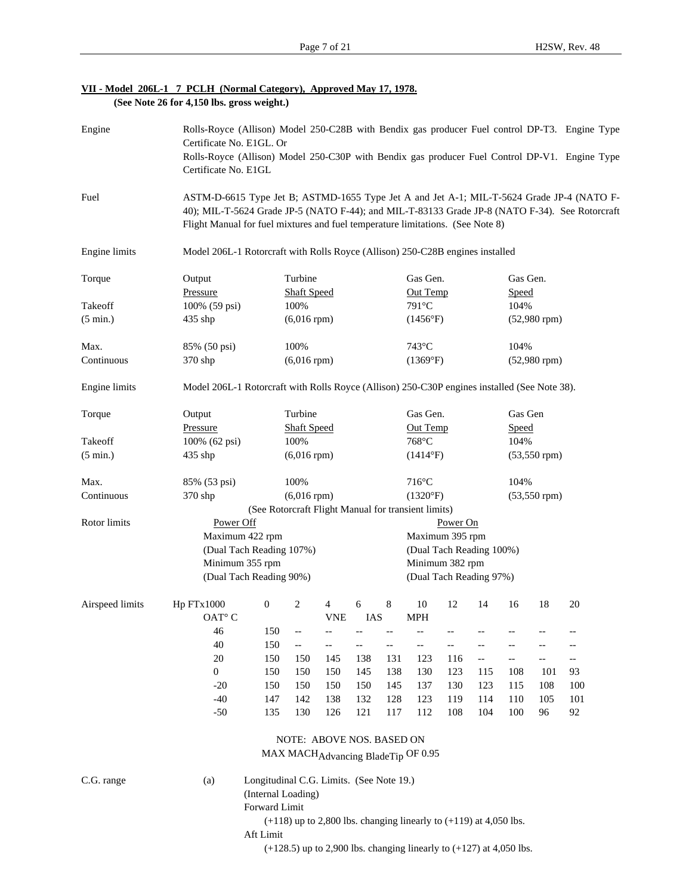|  |  | VII - Model 206L-1 7 PCLH (Normal Category), Approved May 17, 1978. |  |  |
|--|--|---------------------------------------------------------------------|--|--|
|  |  | (See Note 26 for $4,150$ lbs. gross weight.)                        |  |  |

| Engine             |                                                                                              | Rolls-Royce (Allison) Model 250-C28B with Bendix gas producer Fuel control DP-T3. Engine Type<br>Certificate No. E1GL. Or<br>Rolls-Royce (Allison) Model 250-C30P with Bendix gas producer Fuel Control DP-V1. Engine Type<br>Certificate No. E1GL                            |                               |                           |       |     |                                                                         |          |                          |                          |                    |                          |
|--------------------|----------------------------------------------------------------------------------------------|-------------------------------------------------------------------------------------------------------------------------------------------------------------------------------------------------------------------------------------------------------------------------------|-------------------------------|---------------------------|-------|-----|-------------------------------------------------------------------------|----------|--------------------------|--------------------------|--------------------|--------------------------|
| Fuel               |                                                                                              | ASTM-D-6615 Type Jet B; ASTMD-1655 Type Jet A and Jet A-1; MIL-T-5624 Grade JP-4 (NATO F-<br>40); MIL-T-5624 Grade JP-5 (NATO F-44); and MIL-T-83133 Grade JP-8 (NATO F-34). See Rotorcraft<br>Flight Manual for fuel mixtures and fuel temperature limitations. (See Note 8) |                               |                           |       |     |                                                                         |          |                          |                          |                    |                          |
| Engine limits      |                                                                                              | Model 206L-1 Rotorcraft with Rolls Royce (Allison) 250-C28B engines installed                                                                                                                                                                                                 |                               |                           |       |     |                                                                         |          |                          |                          |                    |                          |
| Torque             | Output<br>Pressure                                                                           |                                                                                                                                                                                                                                                                               | Turbine<br><b>Shaft Speed</b> |                           |       |     | Gas Gen.<br>Out Temp                                                    |          |                          | Gas Gen.<br><b>Speed</b> |                    |                          |
| Takeoff            | 100% (59 psi)                                                                                |                                                                                                                                                                                                                                                                               | 100%                          |                           |       |     | 791°C                                                                   |          |                          | 104%                     |                    |                          |
| $(5 \text{ min.})$ | 435 shp                                                                                      |                                                                                                                                                                                                                                                                               | $(6,016$ rpm $)$              |                           |       |     | (1456°F)                                                                |          |                          |                          | $(52,980$ rpm $)$  |                          |
| Max.               | 85% (50 psi)                                                                                 |                                                                                                                                                                                                                                                                               | 100%                          |                           |       |     | $743^{\circ}$ C                                                         |          |                          | 104%                     |                    |                          |
| Continuous         | 370 shp                                                                                      |                                                                                                                                                                                                                                                                               | $(6,016$ rpm $)$              |                           |       |     | (1369°F)                                                                |          |                          |                          | $(52,980$ rpm $)$  |                          |
| Engine limits      | Model 206L-1 Rotorcraft with Rolls Royce (Allison) 250-C30P engines installed (See Note 38). |                                                                                                                                                                                                                                                                               |                               |                           |       |     |                                                                         |          |                          |                          |                    |                          |
| Torque             | Output                                                                                       |                                                                                                                                                                                                                                                                               | Turbine                       |                           |       |     | Gas Gen.                                                                |          |                          | Gas Gen                  |                    |                          |
|                    | Pressure                                                                                     |                                                                                                                                                                                                                                                                               | <b>Shaft Speed</b>            |                           |       |     | Out Temp                                                                |          |                          | <b>Speed</b>             |                    |                          |
| Takeoff            | 100% (62 psi)                                                                                |                                                                                                                                                                                                                                                                               | 100%                          |                           | 768°C |     |                                                                         |          | 104%                     |                          |                    |                          |
| $(5 \text{ min.})$ | 435 shp                                                                                      |                                                                                                                                                                                                                                                                               | $(6,016$ rpm $)$              |                           |       |     | (1414°F)                                                                |          |                          | $(53, 550$ rpm $)$       |                    |                          |
| Max.               | 85% (53 psi)                                                                                 |                                                                                                                                                                                                                                                                               | 100%                          |                           |       |     | $716^{\circ}$ C                                                         |          |                          | 104%                     |                    |                          |
| Continuous         | 370 shp                                                                                      |                                                                                                                                                                                                                                                                               | $(6,016$ rpm $)$              |                           |       |     | (1320°F)                                                                |          |                          |                          | $(53, 550$ rpm $)$ |                          |
|                    |                                                                                              | (See Rotorcraft Flight Manual for transient limits)                                                                                                                                                                                                                           |                               |                           |       |     |                                                                         |          |                          |                          |                    |                          |
| Rotor limits       | Power Off                                                                                    |                                                                                                                                                                                                                                                                               |                               |                           |       |     |                                                                         | Power On |                          |                          |                    |                          |
|                    | Maximum 422 rpm                                                                              |                                                                                                                                                                                                                                                                               |                               |                           |       |     | Maximum 395 rpm                                                         |          |                          |                          |                    |                          |
|                    | (Dual Tach Reading 107%)                                                                     |                                                                                                                                                                                                                                                                               |                               |                           |       |     | (Dual Tach Reading 100%)                                                |          |                          |                          |                    |                          |
|                    | Minimum 355 rpm                                                                              |                                                                                                                                                                                                                                                                               | Minimum 382 rpm               |                           |       |     |                                                                         |          |                          |                          |                    |                          |
|                    | (Dual Tach Reading 90%)<br>(Dual Tach Reading 97%)                                           |                                                                                                                                                                                                                                                                               |                               |                           |       |     |                                                                         |          |                          |                          |                    |                          |
| Airspeed limits    | Hp FTx1000                                                                                   | $\boldsymbol{0}$                                                                                                                                                                                                                                                              | 2                             | 4                         | 6     | 8   | 10                                                                      | 12       | 14                       | 16                       | 18                 | 20                       |
|                    | OAT <sup>°</sup> C                                                                           |                                                                                                                                                                                                                                                                               |                               | <b>VNE</b>                | IAS   |     | <b>MPH</b>                                                              |          |                          |                          |                    |                          |
|                    | 46                                                                                           | 150                                                                                                                                                                                                                                                                           | --                            | --                        |       |     | --                                                                      |          |                          |                          |                    |                          |
|                    | 40                                                                                           | 150                                                                                                                                                                                                                                                                           | $\overline{\phantom{a}}$      | --                        | --    | --  | --                                                                      | --       |                          |                          |                    | --                       |
|                    | 20                                                                                           | 150                                                                                                                                                                                                                                                                           | 150                           | 145                       | 138   | 131 | 123                                                                     | 116      | $\overline{\phantom{a}}$ | $-$                      | $-$                | $\overline{\phantom{m}}$ |
|                    | $\overline{0}$                                                                               | 150                                                                                                                                                                                                                                                                           | 150                           | 150                       | 145   | 138 | 130                                                                     | 123      | 115                      | 108                      | 101                | 93                       |
|                    | $-20$                                                                                        | 150                                                                                                                                                                                                                                                                           | 150                           | 150                       | 150   | 145 | 137                                                                     | 130      | 123                      | 115                      | 108                | 100                      |
|                    | $-40$                                                                                        | 147                                                                                                                                                                                                                                                                           | 142                           | 138                       | 132   | 128 | 123                                                                     | 119      | 114                      | 110                      | 105                | 101                      |
|                    | $-50$                                                                                        | 135                                                                                                                                                                                                                                                                           | 130                           | 126                       | 121   | 117 | 112                                                                     | 108      | 104                      | 100                      | 96                 | 92                       |
|                    |                                                                                              |                                                                                                                                                                                                                                                                               |                               | NOTE: ABOVE NOS. BASED ON |       |     |                                                                         |          |                          |                          |                    |                          |
|                    |                                                                                              |                                                                                                                                                                                                                                                                               |                               |                           |       |     | MAX MACH Advancing BladeTip OF 0.95                                     |          |                          |                          |                    |                          |
| C.G. range         | (a)                                                                                          | Longitudinal C.G. Limits. (See Note 19.)<br>(Internal Loading)<br>Forward Limit                                                                                                                                                                                               |                               |                           |       |     |                                                                         |          |                          |                          |                    |                          |
|                    |                                                                                              | Aft Limit                                                                                                                                                                                                                                                                     |                               |                           |       |     | $(+118)$ up to 2,800 lbs. changing linearly to $(+119)$ at 4,050 lbs.   |          |                          |                          |                    |                          |
|                    |                                                                                              |                                                                                                                                                                                                                                                                               |                               |                           |       |     | $(+128.5)$ up to 2,900 lbs. changing linearly to $(+127)$ at 4,050 lbs. |          |                          |                          |                    |                          |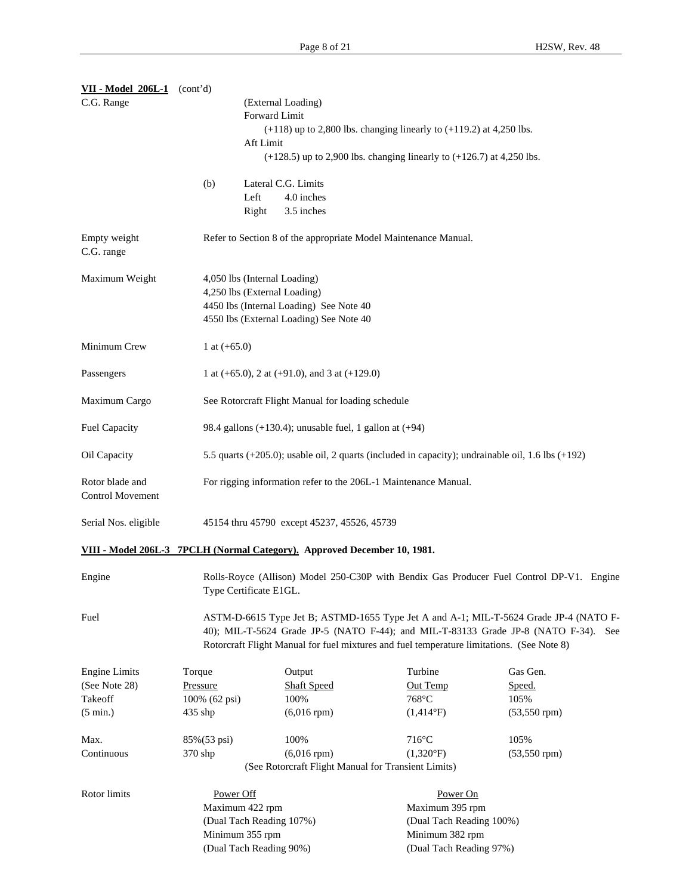| <b>VII - Model 206L-1</b>                                                | (cont'd)                                                                                                                                                                                                                                                                  |                                                                 |                                                                           |  |                          |                                                                                                        |  |
|--------------------------------------------------------------------------|---------------------------------------------------------------------------------------------------------------------------------------------------------------------------------------------------------------------------------------------------------------------------|-----------------------------------------------------------------|---------------------------------------------------------------------------|--|--------------------------|--------------------------------------------------------------------------------------------------------|--|
| C.G. Range                                                               |                                                                                                                                                                                                                                                                           |                                                                 | (External Loading)                                                        |  |                          |                                                                                                        |  |
|                                                                          |                                                                                                                                                                                                                                                                           | Forward Limit                                                   |                                                                           |  |                          |                                                                                                        |  |
|                                                                          |                                                                                                                                                                                                                                                                           |                                                                 | $(+118)$ up to 2,800 lbs. changing linearly to $(+119.2)$ at 4,250 lbs.   |  |                          |                                                                                                        |  |
|                                                                          |                                                                                                                                                                                                                                                                           | Aft Limit                                                       |                                                                           |  |                          |                                                                                                        |  |
|                                                                          |                                                                                                                                                                                                                                                                           |                                                                 | $(+128.5)$ up to 2,900 lbs. changing linearly to $(+126.7)$ at 4,250 lbs. |  |                          |                                                                                                        |  |
|                                                                          | (b)                                                                                                                                                                                                                                                                       |                                                                 | Lateral C.G. Limits                                                       |  |                          |                                                                                                        |  |
|                                                                          |                                                                                                                                                                                                                                                                           | Left                                                            | 4.0 inches                                                                |  |                          |                                                                                                        |  |
|                                                                          |                                                                                                                                                                                                                                                                           | Right                                                           | 3.5 inches                                                                |  |                          |                                                                                                        |  |
| Empty weight<br>C.G. range                                               |                                                                                                                                                                                                                                                                           |                                                                 | Refer to Section 8 of the appropriate Model Maintenance Manual.           |  |                          |                                                                                                        |  |
| Maximum Weight                                                           |                                                                                                                                                                                                                                                                           |                                                                 | 4,050 lbs (Internal Loading)                                              |  |                          |                                                                                                        |  |
|                                                                          |                                                                                                                                                                                                                                                                           |                                                                 | 4,250 lbs (External Loading)                                              |  |                          |                                                                                                        |  |
| 4450 lbs (Internal Loading) See Note 40                                  |                                                                                                                                                                                                                                                                           |                                                                 |                                                                           |  |                          |                                                                                                        |  |
|                                                                          |                                                                                                                                                                                                                                                                           |                                                                 | 4550 lbs (External Loading) See Note 40                                   |  |                          |                                                                                                        |  |
| Minimum Crew                                                             | 1 at $(+65.0)$                                                                                                                                                                                                                                                            |                                                                 |                                                                           |  |                          |                                                                                                        |  |
| Passengers                                                               |                                                                                                                                                                                                                                                                           |                                                                 | 1 at $(+65.0)$ , 2 at $(+91.0)$ , and 3 at $(+129.0)$                     |  |                          |                                                                                                        |  |
| Maximum Cargo                                                            | See Rotorcraft Flight Manual for loading schedule                                                                                                                                                                                                                         |                                                                 |                                                                           |  |                          |                                                                                                        |  |
| Fuel Capacity                                                            | 98.4 gallons $(+130.4)$ ; unusable fuel, 1 gallon at $(+94)$                                                                                                                                                                                                              |                                                                 |                                                                           |  |                          |                                                                                                        |  |
| Oil Capacity                                                             |                                                                                                                                                                                                                                                                           |                                                                 |                                                                           |  |                          | 5.5 quarts $(+205.0)$ ; usable oil, 2 quarts (included in capacity); undrainable oil, 1.6 lbs $(+192)$ |  |
| Rotor blade and<br><b>Control Movement</b>                               |                                                                                                                                                                                                                                                                           | For rigging information refer to the 206L-1 Maintenance Manual. |                                                                           |  |                          |                                                                                                        |  |
| Serial Nos. eligible                                                     |                                                                                                                                                                                                                                                                           |                                                                 | 45154 thru 45790 except 45237, 45526, 45739                               |  |                          |                                                                                                        |  |
| VIII - Model 206L-3 7PCLH (Normal Category). Approved December 10, 1981. |                                                                                                                                                                                                                                                                           |                                                                 |                                                                           |  |                          |                                                                                                        |  |
| Engine                                                                   |                                                                                                                                                                                                                                                                           | Type Certificate E1GL.                                          |                                                                           |  |                          | Rolls-Royce (Allison) Model 250-C30P with Bendix Gas Producer Fuel Control DP-V1. Engine               |  |
| Fuel                                                                     | ASTM-D-6615 Type Jet B; ASTMD-1655 Type Jet A and A-1; MIL-T-5624 Grade JP-4 (NATO F-<br>40); MIL-T-5624 Grade JP-5 (NATO F-44); and MIL-T-83133 Grade JP-8 (NATO F-34). See<br>Rotorcraft Flight Manual for fuel mixtures and fuel temperature limitations. (See Note 8) |                                                                 |                                                                           |  |                          |                                                                                                        |  |
| <b>Engine Limits</b>                                                     | Torque                                                                                                                                                                                                                                                                    |                                                                 | Output                                                                    |  | Turbine                  | Gas Gen.                                                                                               |  |
| (See Note 28)                                                            | Pressure                                                                                                                                                                                                                                                                  |                                                                 | <b>Shaft Speed</b>                                                        |  | Out Temp                 | Speed.                                                                                                 |  |
| Takeoff                                                                  | 100% (62 psi)                                                                                                                                                                                                                                                             |                                                                 | 100%                                                                      |  | 768°C                    | 105%                                                                                                   |  |
| $(5 \text{ min.})$                                                       | 435 shp                                                                                                                                                                                                                                                                   |                                                                 | $(6,016$ rpm $)$                                                          |  | $(1,414^{\circ}F)$       | $(53, 550$ rpm $)$                                                                                     |  |
| Max.                                                                     | 85%(53 psi)                                                                                                                                                                                                                                                               |                                                                 | 100%                                                                      |  | $716^{\circ}$ C          | 105%                                                                                                   |  |
| Continuous                                                               | 370 shp                                                                                                                                                                                                                                                                   |                                                                 | $(6,016$ rpm $)$                                                          |  | $(1,320^{\circ}F)$       | $(53, 550$ rpm $)$                                                                                     |  |
|                                                                          |                                                                                                                                                                                                                                                                           |                                                                 | (See Rotorcraft Flight Manual for Transient Limits)                       |  |                          |                                                                                                        |  |
| Rotor limits                                                             | Power Off                                                                                                                                                                                                                                                                 |                                                                 |                                                                           |  | Power On                 |                                                                                                        |  |
|                                                                          |                                                                                                                                                                                                                                                                           |                                                                 |                                                                           |  | Maximum 395 rpm          |                                                                                                        |  |
|                                                                          |                                                                                                                                                                                                                                                                           | Maximum 422 rpm                                                 | (Dual Tach Reading 107%)                                                  |  | (Dual Tach Reading 100%) |                                                                                                        |  |
|                                                                          |                                                                                                                                                                                                                                                                           | Minimum 355 rpm                                                 |                                                                           |  | Minimum 382 rpm          |                                                                                                        |  |
|                                                                          |                                                                                                                                                                                                                                                                           |                                                                 |                                                                           |  | (Dual Tach Reading 97%)  |                                                                                                        |  |
|                                                                          |                                                                                                                                                                                                                                                                           | (Dual Tach Reading 90%)                                         |                                                                           |  |                          |                                                                                                        |  |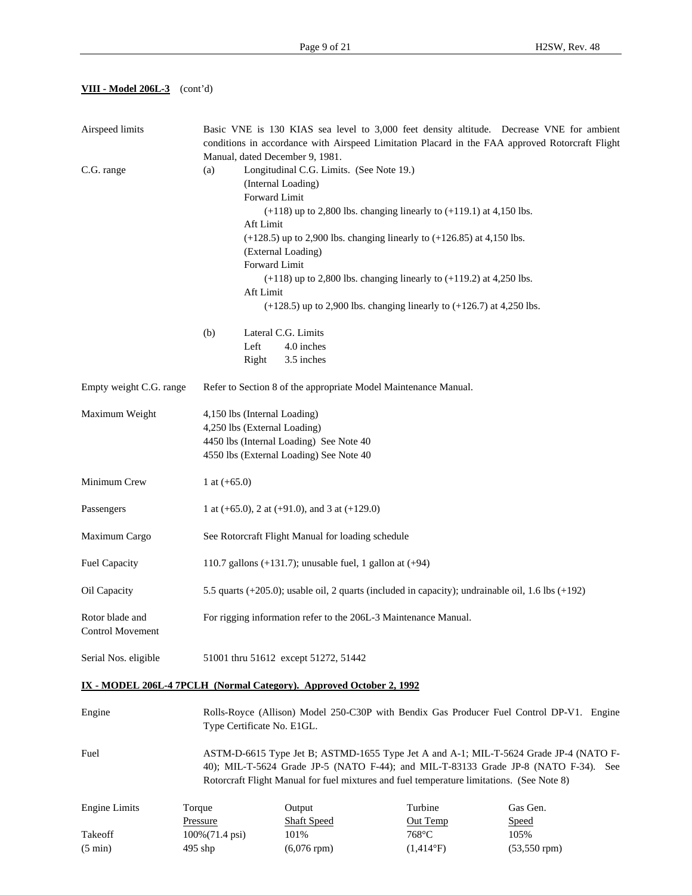**VIII - Model 206L-3** (cont'd)

| Airspeed limits                                                     |                              | Basic VNE is 130 KIAS sea level to 3,000 feet density altitude. Decrease VNE for ambient<br>conditions in accordance with Airspeed Limitation Placard in the FAA approved Rotorcraft Flight<br>Manual, dated December 9, 1981. |                                                                                           |                     |  |                                                                                                                                                                              |  |
|---------------------------------------------------------------------|------------------------------|--------------------------------------------------------------------------------------------------------------------------------------------------------------------------------------------------------------------------------|-------------------------------------------------------------------------------------------|---------------------|--|------------------------------------------------------------------------------------------------------------------------------------------------------------------------------|--|
| C.G. range                                                          | (a)                          |                                                                                                                                                                                                                                | Longitudinal C.G. Limits. (See Note 19.)                                                  |                     |  |                                                                                                                                                                              |  |
|                                                                     |                              |                                                                                                                                                                                                                                | (Internal Loading)                                                                        |                     |  |                                                                                                                                                                              |  |
|                                                                     |                              |                                                                                                                                                                                                                                | Forward Limit                                                                             |                     |  |                                                                                                                                                                              |  |
|                                                                     |                              |                                                                                                                                                                                                                                | $(+118)$ up to 2,800 lbs. changing linearly to $(+119.1)$ at 4,150 lbs.                   |                     |  |                                                                                                                                                                              |  |
|                                                                     |                              | Aft Limit                                                                                                                                                                                                                      |                                                                                           |                     |  |                                                                                                                                                                              |  |
|                                                                     |                              |                                                                                                                                                                                                                                | $(+128.5)$ up to 2,900 lbs. changing linearly to $(+126.85)$ at 4,150 lbs.                |                     |  |                                                                                                                                                                              |  |
|                                                                     |                              |                                                                                                                                                                                                                                | (External Loading)<br>Forward Limit                                                       |                     |  |                                                                                                                                                                              |  |
|                                                                     |                              |                                                                                                                                                                                                                                | $(+118)$ up to 2,800 lbs. changing linearly to $(+119.2)$ at 4,250 lbs.                   |                     |  |                                                                                                                                                                              |  |
|                                                                     |                              | Aft Limit                                                                                                                                                                                                                      |                                                                                           |                     |  |                                                                                                                                                                              |  |
|                                                                     |                              |                                                                                                                                                                                                                                | $(+128.5)$ up to 2,900 lbs. changing linearly to $(+126.7)$ at 4,250 lbs.                 |                     |  |                                                                                                                                                                              |  |
|                                                                     | (b)                          |                                                                                                                                                                                                                                | Lateral C.G. Limits                                                                       |                     |  |                                                                                                                                                                              |  |
|                                                                     |                              | Left                                                                                                                                                                                                                           | 4.0 inches                                                                                |                     |  |                                                                                                                                                                              |  |
|                                                                     |                              | Right                                                                                                                                                                                                                          | 3.5 inches                                                                                |                     |  |                                                                                                                                                                              |  |
| Empty weight C.G. range                                             |                              |                                                                                                                                                                                                                                | Refer to Section 8 of the appropriate Model Maintenance Manual.                           |                     |  |                                                                                                                                                                              |  |
| Maximum Weight                                                      | 4,150 lbs (Internal Loading) |                                                                                                                                                                                                                                |                                                                                           |                     |  |                                                                                                                                                                              |  |
|                                                                     |                              | 4,250 lbs (External Loading)                                                                                                                                                                                                   |                                                                                           |                     |  |                                                                                                                                                                              |  |
|                                                                     |                              | 4450 lbs (Internal Loading) See Note 40                                                                                                                                                                                        |                                                                                           |                     |  |                                                                                                                                                                              |  |
|                                                                     |                              |                                                                                                                                                                                                                                | 4550 lbs (External Loading) See Note 40                                                   |                     |  |                                                                                                                                                                              |  |
| Minimum Crew                                                        | 1 at $(+65.0)$               |                                                                                                                                                                                                                                |                                                                                           |                     |  |                                                                                                                                                                              |  |
| Passengers                                                          |                              | 1 at $(+65.0)$ , 2 at $(+91.0)$ , and 3 at $(+129.0)$                                                                                                                                                                          |                                                                                           |                     |  |                                                                                                                                                                              |  |
| Maximum Cargo                                                       |                              |                                                                                                                                                                                                                                | See Rotorcraft Flight Manual for loading schedule                                         |                     |  |                                                                                                                                                                              |  |
| <b>Fuel Capacity</b>                                                |                              |                                                                                                                                                                                                                                | 110.7 gallons $(+131.7)$ ; unusable fuel, 1 gallon at $(+94)$                             |                     |  |                                                                                                                                                                              |  |
| Oil Capacity                                                        |                              |                                                                                                                                                                                                                                |                                                                                           |                     |  | 5.5 quarts (+205.0); usable oil, 2 quarts (included in capacity); undrainable oil, 1.6 lbs (+192)                                                                            |  |
| Rotor blade and                                                     |                              |                                                                                                                                                                                                                                | For rigging information refer to the 206L-3 Maintenance Manual.                           |                     |  |                                                                                                                                                                              |  |
| Control Movement                                                    |                              |                                                                                                                                                                                                                                |                                                                                           |                     |  |                                                                                                                                                                              |  |
| Serial Nos. eligible                                                |                              |                                                                                                                                                                                                                                | 51001 thru 51612 except 51272, 51442                                                      |                     |  |                                                                                                                                                                              |  |
| IX - MODEL 206L-4 7PCLH (Normal Category). Approved October 2, 1992 |                              |                                                                                                                                                                                                                                |                                                                                           |                     |  |                                                                                                                                                                              |  |
| Engine                                                              |                              | Rolls-Royce (Allison) Model 250-C30P with Bendix Gas Producer Fuel Control DP-V1. Engine<br>Type Certificate No. E1GL.                                                                                                         |                                                                                           |                     |  |                                                                                                                                                                              |  |
| Fuel                                                                |                              |                                                                                                                                                                                                                                | Rotorcraft Flight Manual for fuel mixtures and fuel temperature limitations. (See Note 8) |                     |  | ASTM-D-6615 Type Jet B; ASTMD-1655 Type Jet A and A-1; MIL-T-5624 Grade JP-4 (NATO F-<br>40); MIL-T-5624 Grade JP-5 (NATO F-44); and MIL-T-83133 Grade JP-8 (NATO F-34). See |  |
|                                                                     |                              |                                                                                                                                                                                                                                |                                                                                           |                     |  |                                                                                                                                                                              |  |
| <b>Engine Limits</b>                                                | Torque<br>Pressure           |                                                                                                                                                                                                                                | Output<br><b>Shaft Speed</b>                                                              | Turbine<br>Out Temp |  | Gas Gen.                                                                                                                                                                     |  |
| Takeoff                                                             | 100% (71.4 psi)              |                                                                                                                                                                                                                                | 101%                                                                                      | 768°C               |  | <b>Speed</b><br>105%                                                                                                                                                         |  |
| $(5 \text{ min})$                                                   | 495 shp                      |                                                                                                                                                                                                                                | $(6,076$ rpm $)$                                                                          | $(1,414^{\circ}F)$  |  | $(53, 550$ rpm $)$                                                                                                                                                           |  |
|                                                                     |                              |                                                                                                                                                                                                                                |                                                                                           |                     |  |                                                                                                                                                                              |  |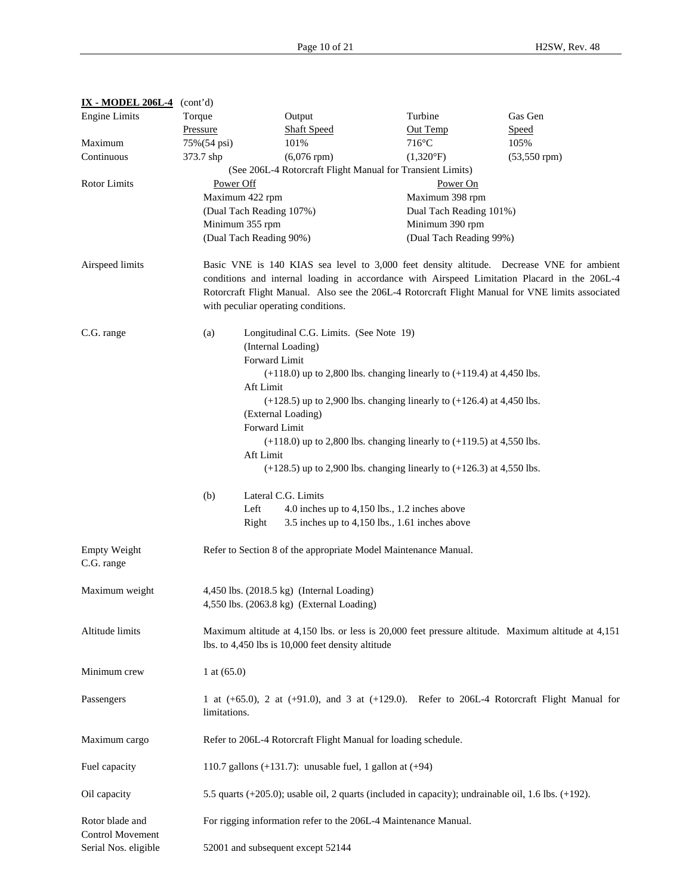**IX - MODEL 206L-4** (cont'd)

| <b>Engine Limits</b>                       | Torque                                                                                 | Output                                                          | Turbine                                                                                             | Gas Gen                                                                                              |  |  |  |  |
|--------------------------------------------|----------------------------------------------------------------------------------------|-----------------------------------------------------------------|-----------------------------------------------------------------------------------------------------|------------------------------------------------------------------------------------------------------|--|--|--|--|
|                                            | Pressure                                                                               | <b>Shaft Speed</b>                                              | Out Temp                                                                                            | Speed                                                                                                |  |  |  |  |
| Maximum                                    | 75%(54 psi)                                                                            | 101%                                                            | $716^{\circ}$ C                                                                                     | 105%                                                                                                 |  |  |  |  |
| Continuous                                 | 373.7 shp                                                                              | $(6,076$ rpm $)$                                                | $(1,320^{\circ}F)$                                                                                  | $(53, 550$ rpm $)$                                                                                   |  |  |  |  |
|                                            |                                                                                        |                                                                 | (See 206L-4 Rotorcraft Flight Manual for Transient Limits)                                          |                                                                                                      |  |  |  |  |
| Rotor Limits                               | Power Off                                                                              |                                                                 | Power On                                                                                            |                                                                                                      |  |  |  |  |
|                                            | Maximum 422 rpm                                                                        |                                                                 | Maximum 398 rpm                                                                                     |                                                                                                      |  |  |  |  |
|                                            |                                                                                        | (Dual Tach Reading 107%)                                        | Dual Tach Reading 101%)                                                                             |                                                                                                      |  |  |  |  |
|                                            | Minimum 355 rpm                                                                        |                                                                 | Minimum 390 rpm                                                                                     |                                                                                                      |  |  |  |  |
|                                            |                                                                                        | (Dual Tach Reading 90%)                                         | (Dual Tach Reading 99%)                                                                             |                                                                                                      |  |  |  |  |
|                                            |                                                                                        |                                                                 |                                                                                                     |                                                                                                      |  |  |  |  |
| Airspeed limits                            |                                                                                        |                                                                 |                                                                                                     | Basic VNE is 140 KIAS sea level to 3,000 feet density altitude. Decrease VNE for ambient             |  |  |  |  |
|                                            |                                                                                        |                                                                 |                                                                                                     | conditions and internal loading in accordance with Airspeed Limitation Placard in the 206L-4         |  |  |  |  |
|                                            |                                                                                        |                                                                 |                                                                                                     | Rotorcraft Flight Manual. Also see the 206L-4 Rotorcraft Flight Manual for VNE limits associated     |  |  |  |  |
|                                            |                                                                                        | with peculiar operating conditions.                             |                                                                                                     |                                                                                                      |  |  |  |  |
|                                            |                                                                                        |                                                                 |                                                                                                     |                                                                                                      |  |  |  |  |
| C.G. range                                 | (a)                                                                                    | Longitudinal C.G. Limits. (See Note 19)                         |                                                                                                     |                                                                                                      |  |  |  |  |
|                                            |                                                                                        | (Internal Loading)                                              |                                                                                                     |                                                                                                      |  |  |  |  |
|                                            |                                                                                        | Forward Limit                                                   |                                                                                                     |                                                                                                      |  |  |  |  |
|                                            |                                                                                        |                                                                 | $(+118.0)$ up to 2,800 lbs. changing linearly to $(+119.4)$ at 4,450 lbs.                           |                                                                                                      |  |  |  |  |
|                                            |                                                                                        | Aft Limit                                                       |                                                                                                     |                                                                                                      |  |  |  |  |
|                                            |                                                                                        |                                                                 | $(+128.5)$ up to 2,900 lbs. changing linearly to $(+126.4)$ at 4,450 lbs.                           |                                                                                                      |  |  |  |  |
|                                            |                                                                                        | (External Loading)                                              |                                                                                                     |                                                                                                      |  |  |  |  |
|                                            | Forward Limit                                                                          |                                                                 |                                                                                                     |                                                                                                      |  |  |  |  |
|                                            |                                                                                        |                                                                 |                                                                                                     |                                                                                                      |  |  |  |  |
|                                            | $(+118.0)$ up to 2,800 lbs. changing linearly to $(+119.5)$ at 4,550 lbs.<br>Aft Limit |                                                                 |                                                                                                     |                                                                                                      |  |  |  |  |
|                                            |                                                                                        |                                                                 | $(+128.5)$ up to 2,900 lbs. changing linearly to $(+126.3)$ at 4,550 lbs.                           |                                                                                                      |  |  |  |  |
|                                            |                                                                                        |                                                                 |                                                                                                     |                                                                                                      |  |  |  |  |
|                                            | (b)                                                                                    | Lateral C.G. Limits                                             |                                                                                                     |                                                                                                      |  |  |  |  |
|                                            | Left                                                                                   |                                                                 | 4.0 inches up to 4,150 lbs., 1.2 inches above                                                       |                                                                                                      |  |  |  |  |
|                                            | Right                                                                                  |                                                                 | 3.5 inches up to $4,150$ lbs., 1.61 inches above                                                    |                                                                                                      |  |  |  |  |
|                                            |                                                                                        |                                                                 |                                                                                                     |                                                                                                      |  |  |  |  |
| <b>Empty Weight</b><br>C.G. range          |                                                                                        |                                                                 | Refer to Section 8 of the appropriate Model Maintenance Manual.                                     |                                                                                                      |  |  |  |  |
|                                            |                                                                                        |                                                                 |                                                                                                     |                                                                                                      |  |  |  |  |
| Maximum weight                             |                                                                                        | 4,450 lbs. (2018.5 kg) (Internal Loading)                       |                                                                                                     |                                                                                                      |  |  |  |  |
|                                            |                                                                                        | 4,550 lbs. (2063.8 kg) (External Loading)                       |                                                                                                     |                                                                                                      |  |  |  |  |
|                                            |                                                                                        |                                                                 |                                                                                                     |                                                                                                      |  |  |  |  |
| Altitude limits                            |                                                                                        |                                                                 |                                                                                                     | Maximum altitude at 4,150 lbs. or less is 20,000 feet pressure altitude. Maximum altitude at 4,151   |  |  |  |  |
|                                            | lbs. to 4,450 lbs is 10,000 feet density altitude                                      |                                                                 |                                                                                                     |                                                                                                      |  |  |  |  |
| Minimum crew                               | 1 at $(65.0)$                                                                          |                                                                 |                                                                                                     |                                                                                                      |  |  |  |  |
| Passengers                                 |                                                                                        |                                                                 |                                                                                                     | 1 at $(+65.0)$ , 2 at $(+91.0)$ , and 3 at $(+129.0)$ . Refer to 206L-4 Rotorcraft Flight Manual for |  |  |  |  |
|                                            | limitations.                                                                           |                                                                 |                                                                                                     |                                                                                                      |  |  |  |  |
| Maximum cargo                              |                                                                                        | Refer to 206L-4 Rotorcraft Flight Manual for loading schedule.  |                                                                                                     |                                                                                                      |  |  |  |  |
| Fuel capacity                              |                                                                                        | 110.7 gallons $(+131.7)$ : unusable fuel, 1 gallon at $(+94)$   |                                                                                                     |                                                                                                      |  |  |  |  |
|                                            |                                                                                        |                                                                 |                                                                                                     |                                                                                                      |  |  |  |  |
| Oil capacity                               |                                                                                        |                                                                 | 5.5 quarts (+205.0); usable oil, 2 quarts (included in capacity); undrainable oil, 1.6 lbs. (+192). |                                                                                                      |  |  |  |  |
| Rotor blade and<br><b>Control Movement</b> |                                                                                        | For rigging information refer to the 206L-4 Maintenance Manual. |                                                                                                     |                                                                                                      |  |  |  |  |
| Serial Nos. eligible                       | 52001 and subsequent except 52144                                                      |                                                                 |                                                                                                     |                                                                                                      |  |  |  |  |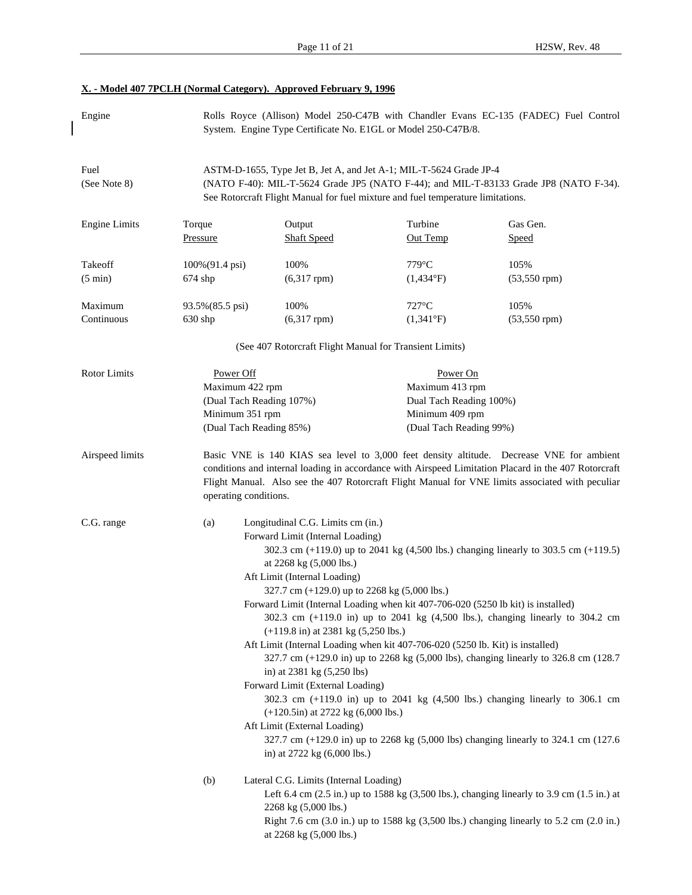| X. - Model 407 7PCLH (Normal Category). Approved February 9, 1996 |  |
|-------------------------------------------------------------------|--|
|-------------------------------------------------------------------|--|

 $\overline{\phantom{a}}$ 

| Engine                       |                                                                                                        | System. Engine Type Certificate No. E1GL or Model 250-C47B/8.                                                                                                                                                                                                                                                                                                                                                                                                                                                                                                                                 |                                                                                                      | Rolls Royce (Allison) Model 250-C47B with Chandler Evans EC-135 (FADEC) Fuel Control                                                                                                                                                                                                                                                                                                                                                  |  |  |
|------------------------------|--------------------------------------------------------------------------------------------------------|-----------------------------------------------------------------------------------------------------------------------------------------------------------------------------------------------------------------------------------------------------------------------------------------------------------------------------------------------------------------------------------------------------------------------------------------------------------------------------------------------------------------------------------------------------------------------------------------------|------------------------------------------------------------------------------------------------------|---------------------------------------------------------------------------------------------------------------------------------------------------------------------------------------------------------------------------------------------------------------------------------------------------------------------------------------------------------------------------------------------------------------------------------------|--|--|
| Fuel<br>(See Note 8)         |                                                                                                        | ASTM-D-1655, Type Jet B, Jet A, and Jet A-1; MIL-T-5624 Grade JP-4<br>See Rotorcraft Flight Manual for fuel mixture and fuel temperature limitations.                                                                                                                                                                                                                                                                                                                                                                                                                                         |                                                                                                      | (NATO F-40): MIL-T-5624 Grade JP5 (NATO F-44); and MIL-T-83133 Grade JP8 (NATO F-34).                                                                                                                                                                                                                                                                                                                                                 |  |  |
| <b>Engine Limits</b>         | Torque<br>Pressure                                                                                     | Output<br><b>Shaft Speed</b>                                                                                                                                                                                                                                                                                                                                                                                                                                                                                                                                                                  | Turbine<br>Out Temp                                                                                  | Gas Gen.<br>Speed                                                                                                                                                                                                                                                                                                                                                                                                                     |  |  |
| Takeoff<br>$(5 \text{ min})$ | 100%(91.4 psi)<br>$674$ shp                                                                            | 100%<br>$(6,317$ rpm $)$                                                                                                                                                                                                                                                                                                                                                                                                                                                                                                                                                                      | $779^{\circ}$ C<br>$(1,434^{\circ}F)$                                                                | 105%<br>$(53, 550$ rpm $)$                                                                                                                                                                                                                                                                                                                                                                                                            |  |  |
| Maximum<br>Continuous        | 93.5% (85.5 psi)<br>$630$ shp                                                                          | 100%<br>$(6,317$ rpm $)$                                                                                                                                                                                                                                                                                                                                                                                                                                                                                                                                                                      | $727^{\circ}$ C<br>$(1,341^{\circ}F)$                                                                | 105%<br>$(53, 550$ rpm $)$                                                                                                                                                                                                                                                                                                                                                                                                            |  |  |
|                              |                                                                                                        | (See 407 Rotorcraft Flight Manual for Transient Limits)                                                                                                                                                                                                                                                                                                                                                                                                                                                                                                                                       |                                                                                                      |                                                                                                                                                                                                                                                                                                                                                                                                                                       |  |  |
| <b>Rotor Limits</b>          | Power Off<br>Maximum 422 rpm<br>(Dual Tach Reading 107%)<br>Minimum 351 rpm<br>(Dual Tach Reading 85%) |                                                                                                                                                                                                                                                                                                                                                                                                                                                                                                                                                                                               | Power On<br>Maximum 413 rpm<br>Dual Tach Reading 100%)<br>Minimum 409 rpm<br>(Dual Tach Reading 99%) |                                                                                                                                                                                                                                                                                                                                                                                                                                       |  |  |
| Airspeed limits              | operating conditions.                                                                                  |                                                                                                                                                                                                                                                                                                                                                                                                                                                                                                                                                                                               |                                                                                                      | Basic VNE is 140 KIAS sea level to 3,000 feet density altitude. Decrease VNE for ambient<br>conditions and internal loading in accordance with Airspeed Limitation Placard in the 407 Rotorcraft<br>Flight Manual. Also see the 407 Rotorcraft Flight Manual for VNE limits associated with peculiar                                                                                                                                  |  |  |
| C.G. range                   | (a)                                                                                                    | Longitudinal C.G. Limits cm (in.)<br>Forward Limit (Internal Loading)<br>at 2268 kg (5,000 lbs.)<br>Aft Limit (Internal Loading)<br>327.7 cm $(+129.0)$ up to 2268 kg $(5,000$ lbs.)<br>Forward Limit (Internal Loading when kit 407-706-020 (5250 lb kit) is installed)<br>$(+119.8 \text{ in})$ at 2381 kg $(5,250 \text{ lbs.})$<br>Aft Limit (Internal Loading when kit 407-706-020 (5250 lb. Kit) is installed)<br>in) at 2381 kg (5,250 lbs)<br>Forward Limit (External Loading)<br>$(+120.5)$ at 2722 kg $(6,000$ lbs.)<br>Aft Limit (External Loading)<br>in) at 2722 kg (6,000 lbs.) |                                                                                                      | 302.3 cm (+119.0) up to 2041 kg (4,500 lbs.) changing linearly to 303.5 cm (+119.5)<br>302.3 cm (+119.0 in) up to 2041 kg (4,500 lbs.), changing linearly to 304.2 cm<br>327.7 cm (+129.0 in) up to 2268 kg (5,000 lbs), changing linearly to 326.8 cm (128.7<br>302.3 cm (+119.0 in) up to 2041 kg (4,500 lbs.) changing linearly to 306.1 cm<br>327.7 cm (+129.0 in) up to 2268 kg (5,000 lbs) changing linearly to 324.1 cm (127.6 |  |  |
|                              | (b)                                                                                                    | Lateral C.G. Limits (Internal Loading)<br>2268 kg (5,000 lbs.)<br>at 2268 kg (5,000 lbs.)                                                                                                                                                                                                                                                                                                                                                                                                                                                                                                     |                                                                                                      | Left 6.4 cm (2.5 in.) up to 1588 kg (3,500 lbs.), changing linearly to 3.9 cm (1.5 in.) at<br>Right 7.6 cm (3.0 in.) up to 1588 kg (3,500 lbs.) changing linearly to 5.2 cm (2.0 in.)                                                                                                                                                                                                                                                 |  |  |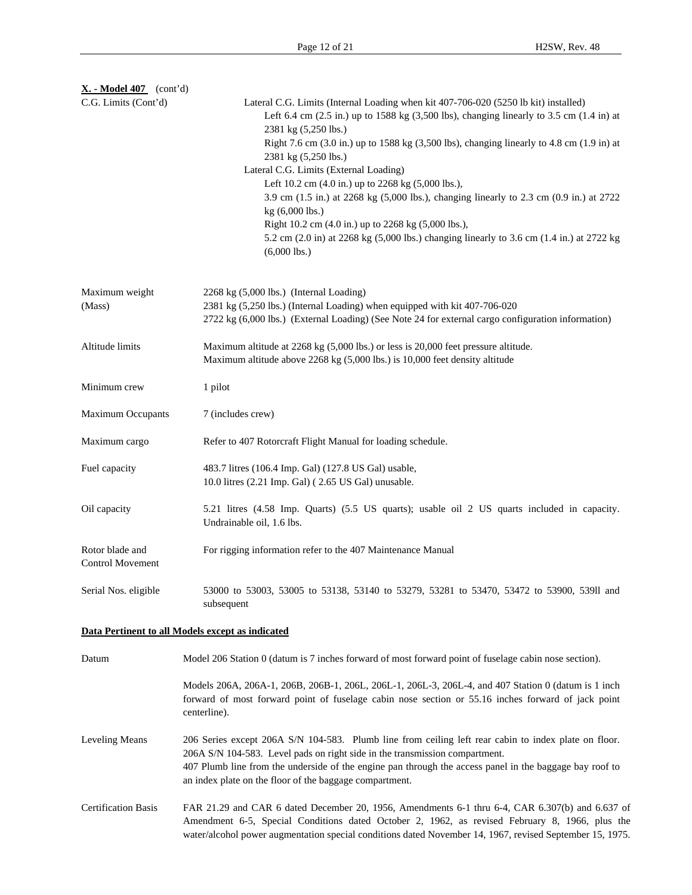| $X. - Model 407$ (cont'd)                  |                                                                                                                                                                                                                                                                                                                                                           |
|--------------------------------------------|-----------------------------------------------------------------------------------------------------------------------------------------------------------------------------------------------------------------------------------------------------------------------------------------------------------------------------------------------------------|
| C.G. Limits (Cont'd)                       | Lateral C.G. Limits (Internal Loading when kit 407-706-020 (5250 lb kit) installed)<br>Left 6.4 cm $(2.5 \text{ in.})$ up to 1588 kg $(3,500 \text{ lbs})$ , changing linearly to 3.5 cm $(1.4 \text{ in})$ at<br>2381 kg (5,250 lbs.)<br>Right 7.6 cm (3.0 in.) up to 1588 kg (3,500 lbs), changing linearly to 4.8 cm (1.9 in) at                       |
|                                            | 2381 kg (5,250 lbs.)                                                                                                                                                                                                                                                                                                                                      |
|                                            | Lateral C.G. Limits (External Loading)<br>Left 10.2 cm (4.0 in.) up to 2268 kg (5,000 lbs.),                                                                                                                                                                                                                                                              |
|                                            | 3.9 cm (1.5 in.) at 2268 kg (5,000 lbs.), changing linearly to 2.3 cm (0.9 in.) at 2722                                                                                                                                                                                                                                                                   |
|                                            | kg (6,000 lbs.)                                                                                                                                                                                                                                                                                                                                           |
|                                            | Right 10.2 cm (4.0 in.) up to 2268 kg (5,000 lbs.),                                                                                                                                                                                                                                                                                                       |
|                                            | 5.2 cm (2.0 in) at 2268 kg (5,000 lbs.) changing linearly to 3.6 cm (1.4 in.) at 2722 kg                                                                                                                                                                                                                                                                  |
|                                            | $(6,000$ lbs.)                                                                                                                                                                                                                                                                                                                                            |
| Maximum weight                             | 2268 kg (5,000 lbs.) (Internal Loading)                                                                                                                                                                                                                                                                                                                   |
| (Mass)                                     | 2381 kg (5,250 lbs.) (Internal Loading) when equipped with kit 407-706-020                                                                                                                                                                                                                                                                                |
|                                            | 2722 kg (6,000 lbs.) (External Loading) (See Note 24 for external cargo configuration information)                                                                                                                                                                                                                                                        |
| Altitude limits                            | Maximum altitude at 2268 kg (5,000 lbs.) or less is 20,000 feet pressure altitude.<br>Maximum altitude above 2268 kg (5,000 lbs.) is 10,000 feet density altitude                                                                                                                                                                                         |
| Minimum crew                               | 1 pilot                                                                                                                                                                                                                                                                                                                                                   |
| <b>Maximum Occupants</b>                   | 7 (includes crew)                                                                                                                                                                                                                                                                                                                                         |
| Maximum cargo                              | Refer to 407 Rotorcraft Flight Manual for loading schedule.                                                                                                                                                                                                                                                                                               |
| Fuel capacity                              | 483.7 litres (106.4 Imp. Gal) (127.8 US Gal) usable,<br>10.0 litres (2.21 Imp. Gal) (2.65 US Gal) unusable.                                                                                                                                                                                                                                               |
| Oil capacity                               | 5.21 litres (4.58 Imp. Quarts) (5.5 US quarts); usable oil 2 US quarts included in capacity.<br>Undrainable oil, 1.6 lbs.                                                                                                                                                                                                                                 |
| Rotor blade and<br><b>Control Movement</b> | For rigging information refer to the 407 Maintenance Manual                                                                                                                                                                                                                                                                                               |
| Serial Nos. eligible                       | 53000 to 53003, 53005 to 53138, 53140 to 53279, 53281 to 53470, 53472 to 53900, 53911 and<br>subsequent                                                                                                                                                                                                                                                   |
|                                            | Data Pertinent to all Models except as indicated                                                                                                                                                                                                                                                                                                          |
| Datum                                      | Model 206 Station 0 (datum is 7 inches forward of most forward point of fuselage cabin nose section).                                                                                                                                                                                                                                                     |
|                                            | Models 206A, 206A-1, 206B, 206B-1, 206L-1, 206L-1, 206L-3, 206L-4, and 407 Station 0 (datum is 1 inch<br>forward of most forward point of fuselage cabin nose section or 55.16 inches forward of jack point<br>centerline).                                                                                                                               |
| Leveling Means                             | 206 Series except 206A S/N 104-583. Plumb line from ceiling left rear cabin to index plate on floor.<br>206A S/N 104-583. Level pads on right side in the transmission compartment.<br>407 Plumb line from the underside of the engine pan through the access panel in the baggage bay roof to<br>an index plate on the floor of the baggage compartment. |
| <b>Certification Basis</b>                 | FAR 21.29 and CAR 6 dated December 20, 1956, Amendments 6-1 thru 6-4, CAR 6.307(b) and 6.637 of<br>Amendment 6-5, Special Conditions dated October 2, 1962, as revised February 8, 1966, plus the<br>water/alcohol power augmentation special conditions dated November 14, 1967, revised September 15, 1975.                                             |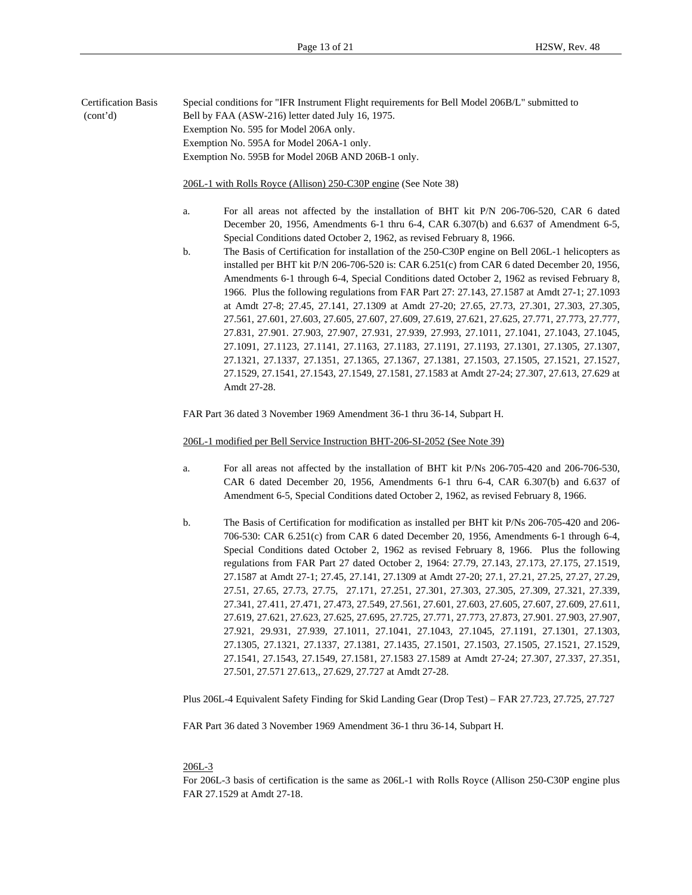Certification Basis Special conditions for "IFR Instrument Flight requirements for Bell Model 206B/L" submitted to (cont'd) Bell by FAA (ASW-216) letter dated July 16, 1975. Exemption No. 595 for Model 206A only. Exemption No. 595A for Model 206A-1 only. Exemption No. 595B for Model 206B AND 206B-1 only.

206L-1 with Rolls Royce (Allison) 250-C30P engine (See Note 38)

- a. For all areas not affected by the installation of BHT kit P/N 206-706-520, CAR 6 dated December 20, 1956, Amendments 6-1 thru 6-4, CAR 6.307(b) and 6.637 of Amendment 6-5, Special Conditions dated October 2, 1962, as revised February 8, 1966.
- b. The Basis of Certification for installation of the 250-C30P engine on Bell 206L-1 helicopters as installed per BHT kit P/N 206-706-520 is: CAR 6.251(c) from CAR 6 dated December 20, 1956, Amendments 6-1 through 6-4, Special Conditions dated October 2, 1962 as revised February 8, 1966. Plus the following regulations from FAR Part 27: 27.143, 27.1587 at Amdt 27-1; 27.1093 at Amdt 27-8; 27.45, 27.141, 27.1309 at Amdt 27-20; 27.65, 27.73, 27.301, 27.303, 27.305, 27.561, 27.601, 27.603, 27.605, 27.607, 27.609, 27.619, 27.621, 27.625, 27.771, 27.773, 27.777, 27.831, 27.901. 27.903, 27.907, 27.931, 27.939, 27.993, 27.1011, 27.1041, 27.1043, 27.1045, 27.1091, 27.1123, 27.1141, 27.1163, 27.1183, 27.1191, 27.1193, 27.1301, 27.1305, 27.1307, 27.1321, 27.1337, 27.1351, 27.1365, 27.1367, 27.1381, 27.1503, 27.1505, 27.1521, 27.1527, 27.1529, 27.1541, 27.1543, 27.1549, 27.1581, 27.1583 at Amdt 27-24; 27.307, 27.613, 27.629 at Amdt 27-28.

FAR Part 36 dated 3 November 1969 Amendment 36-1 thru 36-14, Subpart H.

206L-1 modified per Bell Service Instruction BHT-206-SI-2052 (See Note 39)

- a. For all areas not affected by the installation of BHT kit P/Ns 206-705-420 and 206-706-530, CAR 6 dated December 20, 1956, Amendments 6-1 thru 6-4, CAR 6.307(b) and 6.637 of Amendment 6-5, Special Conditions dated October 2, 1962, as revised February 8, 1966.
- b. The Basis of Certification for modification as installed per BHT kit P/Ns 206-705-420 and 206- 706-530: CAR 6.251(c) from CAR 6 dated December 20, 1956, Amendments 6-1 through 6-4, Special Conditions dated October 2, 1962 as revised February 8, 1966. Plus the following regulations from FAR Part 27 dated October 2, 1964: 27.79, 27.143, 27.173, 27.175, 27.1519, 27.1587 at Amdt 27-1; 27.45, 27.141, 27.1309 at Amdt 27-20; 27.1, 27.21, 27.25, 27.27, 27.29, 27.51, 27.65, 27.73, 27.75, 27.171, 27.251, 27.301, 27.303, 27.305, 27.309, 27.321, 27.339, 27.341, 27.411, 27.471, 27.473, 27.549, 27.561, 27.601, 27.603, 27.605, 27.607, 27.609, 27.611, 27.619, 27.621, 27.623, 27.625, 27.695, 27.725, 27.771, 27.773, 27.873, 27.901. 27.903, 27.907, 27.921, 29.931, 27.939, 27.1011, 27.1041, 27.1043, 27.1045, 27.1191, 27.1301, 27.1303, 27.1305, 27.1321, 27.1337, 27.1381, 27.1435, 27.1501, 27.1503, 27.1505, 27.1521, 27.1529, 27.1541, 27.1543, 27.1549, 27.1581, 27.1583 27.1589 at Amdt 27-24; 27.307, 27.337, 27.351, 27.501, 27.571 27.613,, 27.629, 27.727 at Amdt 27-28.

Plus 206L-4 Equivalent Safety Finding for Skid Landing Gear (Drop Test) – FAR 27.723, 27.725, 27.727

FAR Part 36 dated 3 November 1969 Amendment 36-1 thru 36-14, Subpart H.

#### 206L-3

For 206L-3 basis of certification is the same as 206L-1 with Rolls Royce (Allison 250-C30P engine plus FAR 27.1529 at Amdt 27-18.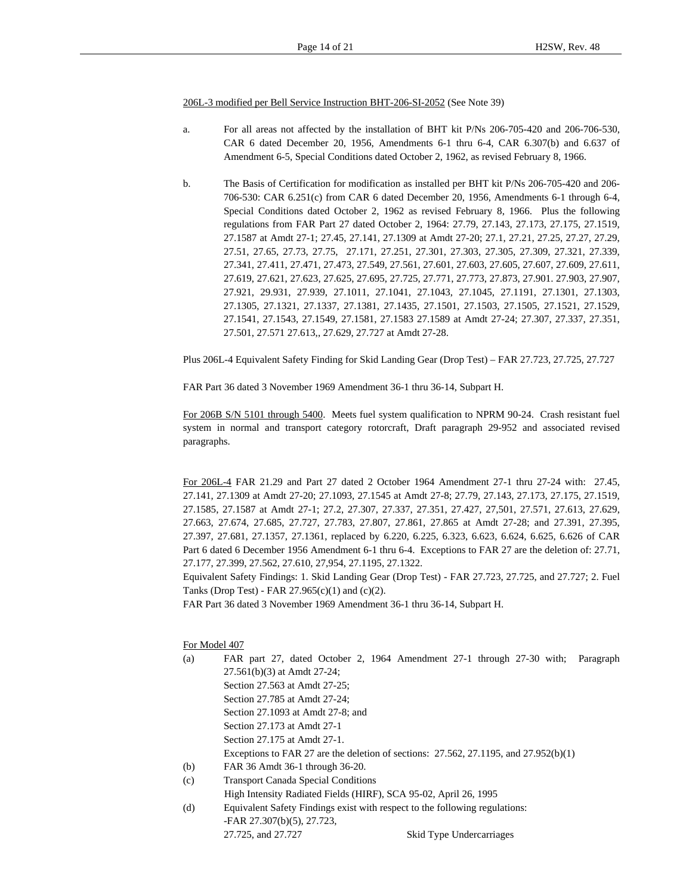206L-3 modified per Bell Service Instruction BHT-206-SI-2052 (See Note 39)

- a. For all areas not affected by the installation of BHT kit P/Ns 206-705-420 and 206-706-530, CAR 6 dated December 20, 1956, Amendments 6-1 thru 6-4, CAR 6.307(b) and 6.637 of Amendment 6-5, Special Conditions dated October 2, 1962, as revised February 8, 1966.
- b. The Basis of Certification for modification as installed per BHT kit P/Ns 206-705-420 and 206- 706-530: CAR 6.251(c) from CAR 6 dated December 20, 1956, Amendments 6-1 through 6-4, Special Conditions dated October 2, 1962 as revised February 8, 1966. Plus the following regulations from FAR Part 27 dated October 2, 1964: 27.79, 27.143, 27.173, 27.175, 27.1519, 27.1587 at Amdt 27-1; 27.45, 27.141, 27.1309 at Amdt 27-20; 27.1, 27.21, 27.25, 27.27, 27.29, 27.51, 27.65, 27.73, 27.75, 27.171, 27.251, 27.301, 27.303, 27.305, 27.309, 27.321, 27.339, 27.341, 27.411, 27.471, 27.473, 27.549, 27.561, 27.601, 27.603, 27.605, 27.607, 27.609, 27.611, 27.619, 27.621, 27.623, 27.625, 27.695, 27.725, 27.771, 27.773, 27.873, 27.901. 27.903, 27.907, 27.921, 29.931, 27.939, 27.1011, 27.1041, 27.1043, 27.1045, 27.1191, 27.1301, 27.1303, 27.1305, 27.1321, 27.1337, 27.1381, 27.1435, 27.1501, 27.1503, 27.1505, 27.1521, 27.1529, 27.1541, 27.1543, 27.1549, 27.1581, 27.1583 27.1589 at Amdt 27-24; 27.307, 27.337, 27.351, 27.501, 27.571 27.613,, 27.629, 27.727 at Amdt 27-28.

Plus 206L-4 Equivalent Safety Finding for Skid Landing Gear (Drop Test) – FAR 27.723, 27.725, 27.727

FAR Part 36 dated 3 November 1969 Amendment 36-1 thru 36-14, Subpart H.

For 206B S/N 5101 through 5400. Meets fuel system qualification to NPRM 90-24. Crash resistant fuel system in normal and transport category rotorcraft, Draft paragraph 29-952 and associated revised paragraphs.

For 206L-4 FAR 21.29 and Part 27 dated 2 October 1964 Amendment 27-1 thru 27-24 with: 27.45, 27.141, 27.1309 at Amdt 27-20; 27.1093, 27.1545 at Amdt 27-8; 27.79, 27.143, 27.173, 27.175, 27.1519, 27.1585, 27.1587 at Amdt 27-1; 27.2, 27.307, 27.337, 27.351, 27.427, 27,501, 27.571, 27.613, 27.629, 27.663, 27.674, 27.685, 27.727, 27.783, 27.807, 27.861, 27.865 at Amdt 27-28; and 27.391, 27.395, 27.397, 27.681, 27.1357, 27.1361, replaced by 6.220, 6.225, 6.323, 6.623, 6.624, 6.625, 6.626 of CAR Part 6 dated 6 December 1956 Amendment 6-1 thru 6-4. Exceptions to FAR 27 are the deletion of: 27.71, 27.177, 27.399, 27.562, 27.610, 27,954, 27.1195, 27.1322.

Equivalent Safety Findings: 1. Skid Landing Gear (Drop Test) - FAR 27.723, 27.725, and 27.727; 2. Fuel Tanks (Drop Test) - FAR 27.965(c)(1) and (c)(2).

FAR Part 36 dated 3 November 1969 Amendment 36-1 thru 36-14, Subpart H.

For Model 407

- (a) FAR part 27, dated October 2, 1964 Amendment 27-1 through 27-30 with; Paragraph 27.561(b)(3) at Amdt 27-24; Section 27.563 at Amdt 27-25; Section 27.785 at Amdt 27-24; Section 27.1093 at Amdt 27-8; and Section 27.173 at Amdt 27-1 Section 27.175 at Amdt 27-1. Exceptions to FAR 27 are the deletion of sections:  $27.562$ ,  $27.1195$ , and  $27.952(b)(1)$ (b) FAR 36 Amdt 36-1 through 36-20. (c) Transport Canada Special Conditions High Intensity Radiated Fields (HIRF), SCA 95-02, April 26, 1995
- (d) Equivalent Safety Findings exist with respect to the following regulations: -FAR 27.307(b)(5), 27.723, 27.725, and 27.727 Skid Type Undercarriages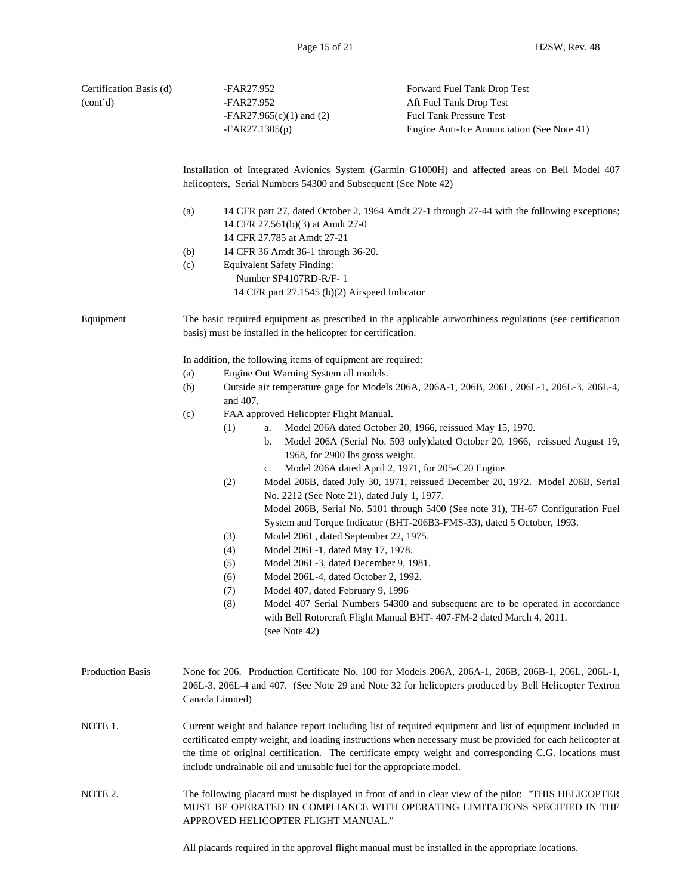| Certification Basis (d) |                                                                                                                                                                        | -FAR27.952                                                    | Forward Fuel Tank Drop Test                                                                                                                                                                                                                                                                                                                                                                              |  |  |  |  |
|-------------------------|------------------------------------------------------------------------------------------------------------------------------------------------------------------------|---------------------------------------------------------------|----------------------------------------------------------------------------------------------------------------------------------------------------------------------------------------------------------------------------------------------------------------------------------------------------------------------------------------------------------------------------------------------------------|--|--|--|--|
| (cont'd)                |                                                                                                                                                                        | -FAR27.952                                                    | Aft Fuel Tank Drop Test                                                                                                                                                                                                                                                                                                                                                                                  |  |  |  |  |
|                         |                                                                                                                                                                        | $-FAR27.965(c)(1)$ and (2)                                    | Fuel Tank Pressure Test                                                                                                                                                                                                                                                                                                                                                                                  |  |  |  |  |
|                         |                                                                                                                                                                        | $-FAR27.1305(p)$                                              | Engine Anti-Ice Annunciation (See Note 41)                                                                                                                                                                                                                                                                                                                                                               |  |  |  |  |
|                         |                                                                                                                                                                        |                                                               | Installation of Integrated Avionics System (Garmin G1000H) and affected areas on Bell Model 407<br>helicopters, Serial Numbers 54300 and Subsequent (See Note 42)                                                                                                                                                                                                                                        |  |  |  |  |
|                         | (a)<br>14 CFR part 27, dated October 2, 1964 Amdt 27-1 through 27-44 with the following exceptions;<br>14 CFR 27.561(b)(3) at Amdt 27-0<br>14 CFR 27.785 at Amdt 27-21 |                                                               |                                                                                                                                                                                                                                                                                                                                                                                                          |  |  |  |  |
|                         | (b)                                                                                                                                                                    | 14 CFR 36 Amdt 36-1 through 36-20.                            |                                                                                                                                                                                                                                                                                                                                                                                                          |  |  |  |  |
|                         | (c)                                                                                                                                                                    | <b>Equivalent Safety Finding:</b>                             |                                                                                                                                                                                                                                                                                                                                                                                                          |  |  |  |  |
|                         |                                                                                                                                                                        | Number SP4107RD-R/F-1                                         |                                                                                                                                                                                                                                                                                                                                                                                                          |  |  |  |  |
|                         |                                                                                                                                                                        | 14 CFR part 27.1545 (b)(2) Airspeed Indicator                 |                                                                                                                                                                                                                                                                                                                                                                                                          |  |  |  |  |
| Equipment               |                                                                                                                                                                        | basis) must be installed in the helicopter for certification. | The basic required equipment as prescribed in the applicable airworthiness regulations (see certification                                                                                                                                                                                                                                                                                                |  |  |  |  |
|                         |                                                                                                                                                                        | In addition, the following items of equipment are required:   |                                                                                                                                                                                                                                                                                                                                                                                                          |  |  |  |  |
|                         | (a)                                                                                                                                                                    | Engine Out Warning System all models.                         |                                                                                                                                                                                                                                                                                                                                                                                                          |  |  |  |  |
|                         | (b)                                                                                                                                                                    | and 407.                                                      | Outside air temperature gage for Models 206A, 206A-1, 206B, 206L, 206L-1, 206L-3, 206L-4,                                                                                                                                                                                                                                                                                                                |  |  |  |  |
|                         | (c)                                                                                                                                                                    | FAA approved Helicopter Flight Manual.                        |                                                                                                                                                                                                                                                                                                                                                                                                          |  |  |  |  |
|                         |                                                                                                                                                                        | (1)<br>a.<br>b.                                               | Model 206A dated October 20, 1966, reissued May 15, 1970.<br>Model 206A (Serial No. 503 only)dated October 20, 1966, reissued August 19,<br>1968, for 2900 lbs gross weight.                                                                                                                                                                                                                             |  |  |  |  |
|                         |                                                                                                                                                                        | c.                                                            | Model 206A dated April 2, 1971, for 205-C20 Engine.                                                                                                                                                                                                                                                                                                                                                      |  |  |  |  |
|                         |                                                                                                                                                                        | (2)                                                           | Model 206B, dated July 30, 1971, reissued December 20, 1972. Model 206B, Serial<br>No. 2212 (See Note 21), dated July 1, 1977.                                                                                                                                                                                                                                                                           |  |  |  |  |
|                         |                                                                                                                                                                        |                                                               | Model 206B, Serial No. 5101 through 5400 (See note 31), TH-67 Configuration Fuel<br>System and Torque Indicator (BHT-206B3-FMS-33), dated 5 October, 1993.                                                                                                                                                                                                                                               |  |  |  |  |
|                         |                                                                                                                                                                        | (3)                                                           | Model 206L, dated September 22, 1975.                                                                                                                                                                                                                                                                                                                                                                    |  |  |  |  |
|                         |                                                                                                                                                                        | (4)                                                           | Model 206L-1, dated May 17, 1978.                                                                                                                                                                                                                                                                                                                                                                        |  |  |  |  |
|                         |                                                                                                                                                                        | (5)                                                           | Model 206L-3, dated December 9, 1981.                                                                                                                                                                                                                                                                                                                                                                    |  |  |  |  |
|                         |                                                                                                                                                                        | (6)                                                           | Model 206L-4, dated October 2, 1992.                                                                                                                                                                                                                                                                                                                                                                     |  |  |  |  |
|                         |                                                                                                                                                                        | (7)<br>(8)                                                    | Model 407, dated February 9, 1996<br>Model 407 Serial Numbers 54300 and subsequent are to be operated in accordance                                                                                                                                                                                                                                                                                      |  |  |  |  |
|                         |                                                                                                                                                                        | (see Note 42)                                                 | with Bell Rotorcraft Flight Manual BHT-407-FM-2 dated March 4, 2011.                                                                                                                                                                                                                                                                                                                                     |  |  |  |  |
| Production Basis        |                                                                                                                                                                        | Canada Limited)                                               | None for 206. Production Certificate No. 100 for Models 206A, 206A-1, 206B, 206B-1, 206L, 206L-1,<br>206L-3, 206L-4 and 407. (See Note 29 and Note 32 for helicopters produced by Bell Helicopter Textron                                                                                                                                                                                                |  |  |  |  |
| NOTE 1.                 |                                                                                                                                                                        |                                                               | Current weight and balance report including list of required equipment and list of equipment included in<br>certificated empty weight, and loading instructions when necessary must be provided for each helicopter at<br>the time of original certification. The certificate empty weight and corresponding C.G. locations must<br>include undrainable oil and unusable fuel for the appropriate model. |  |  |  |  |
| NOTE 2.                 |                                                                                                                                                                        | APPROVED HELICOPTER FLIGHT MANUAL."                           | The following placard must be displayed in front of and in clear view of the pilot: "THIS HELICOPTER<br>MUST BE OPERATED IN COMPLIANCE WITH OPERATING LIMITATIONS SPECIFIED IN THE                                                                                                                                                                                                                       |  |  |  |  |
|                         |                                                                                                                                                                        |                                                               |                                                                                                                                                                                                                                                                                                                                                                                                          |  |  |  |  |

All placards required in the approval flight manual must be installed in the appropriate locations.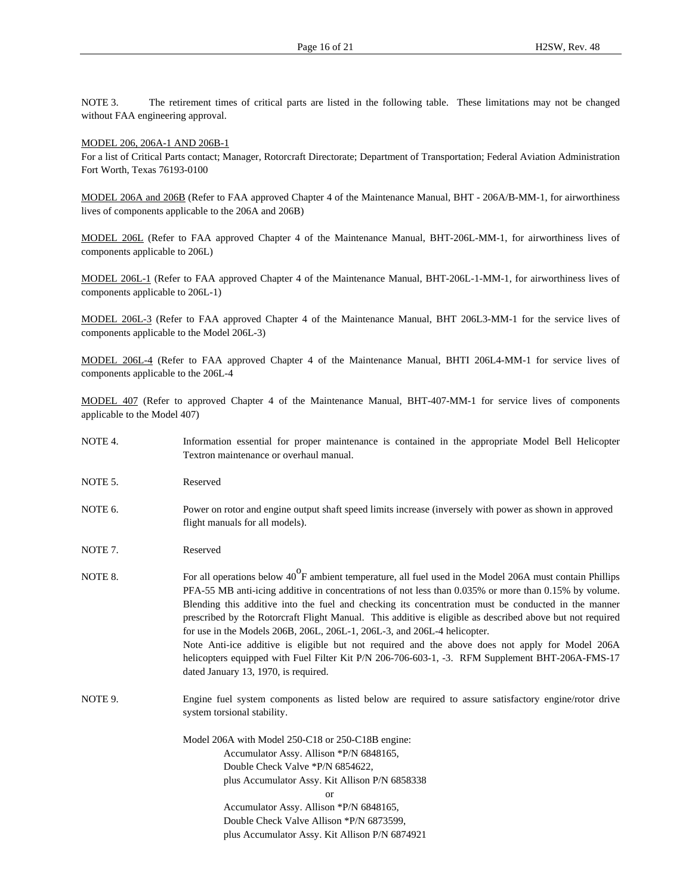NOTE 3. The retirement times of critical parts are listed in the following table. These limitations may not be changed without FAA engineering approval.

#### MODEL 206, 206A-1 AND 206B-1

For a list of Critical Parts contact; Manager, Rotorcraft Directorate; Department of Transportation; Federal Aviation Administration Fort Worth, Texas 76193-0100

MODEL 206A and 206B (Refer to FAA approved Chapter 4 of the Maintenance Manual, BHT - 206A/B-MM-1, for airworthiness lives of components applicable to the 206A and 206B)

MODEL 206L (Refer to FAA approved Chapter 4 of the Maintenance Manual, BHT-206L-MM-1, for airworthiness lives of components applicable to 206L)

MODEL 206L-1 (Refer to FAA approved Chapter 4 of the Maintenance Manual, BHT-206L-1-MM-1, for airworthiness lives of components applicable to 206L-1)

MODEL 206L-3 (Refer to FAA approved Chapter 4 of the Maintenance Manual, BHT 206L3-MM-1 for the service lives of components applicable to the Model 206L-3)

MODEL 206L-4 (Refer to FAA approved Chapter 4 of the Maintenance Manual, BHTI 206L4-MM-1 for service lives of components applicable to the 206L-4

MODEL 407 (Refer to approved Chapter 4 of the Maintenance Manual, BHT-407-MM-1 for service lives of components applicable to the Model 407)

- NOTE 4. Information essential for proper maintenance is contained in the appropriate Model Bell Helicopter Textron maintenance or overhaul manual.
- NOTE 5. Reserved
- NOTE 6. Power on rotor and engine output shaft speed limits increase (inversely with power as shown in approved flight manuals for all models).
- NOTE 7. Reserved
- NOTE 8. For all operations below 40<sup>o</sup>F ambient temperature, all fuel used in the Model 206A must contain Phillips PFA-55 MB anti-icing additive in concentrations of not less than 0.035% or more than 0.15% by volume. Blending this additive into the fuel and checking its concentration must be conducted in the manner prescribed by the Rotorcraft Flight Manual. This additive is eligible as described above but not required for use in the Models 206B, 206L, 206L-1, 206L-3, and 206L-4 helicopter. Note Anti-ice additive is eligible but not required and the above does not apply for Model 206A helicopters equipped with Fuel Filter Kit P/N 206-706-603-1, -3. RFM Supplement BHT-206A-FMS-17 dated January 13, 1970, is required.
- NOTE 9. Engine fuel system components as listed below are required to assure satisfactory engine/rotor drive system torsional stability.

Model 206A with Model 250-C18 or 250-C18B engine: Accumulator Assy. Allison \*P/N 6848165, Double Check Valve \*P/N 6854622, plus Accumulator Assy. Kit Allison P/N 6858338 or Accumulator Assy. Allison \*P/N 6848165, Double Check Valve Allison \*P/N 6873599, plus Accumulator Assy. Kit Allison P/N 6874921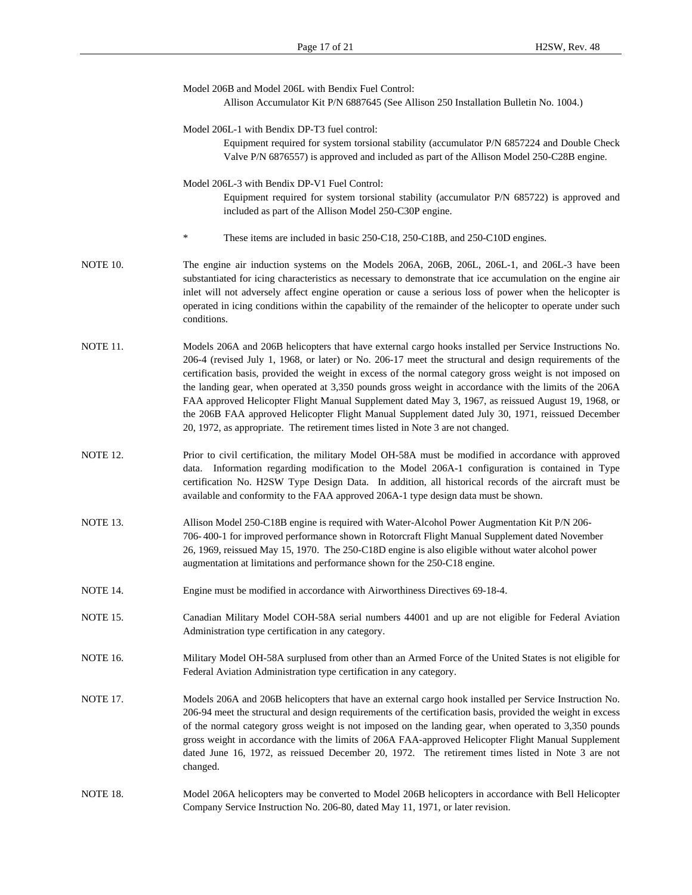|                 | Model 206B and Model 206L with Bendix Fuel Control:<br>Allison Accumulator Kit P/N 6887645 (See Allison 250 Installation Bulletin No. 1004.)                                                                                                                                                                                                                                                                                                                                                                                                                                                                                                                                                                                           |
|-----------------|----------------------------------------------------------------------------------------------------------------------------------------------------------------------------------------------------------------------------------------------------------------------------------------------------------------------------------------------------------------------------------------------------------------------------------------------------------------------------------------------------------------------------------------------------------------------------------------------------------------------------------------------------------------------------------------------------------------------------------------|
|                 | Model 206L-1 with Bendix DP-T3 fuel control:<br>Equipment required for system torsional stability (accumulator P/N 6857224 and Double Check<br>Valve P/N 6876557) is approved and included as part of the Allison Model 250-C28B engine.                                                                                                                                                                                                                                                                                                                                                                                                                                                                                               |
|                 | Model 206L-3 with Bendix DP-V1 Fuel Control:<br>Equipment required for system torsional stability (accumulator P/N 685722) is approved and<br>included as part of the Allison Model 250-C30P engine.                                                                                                                                                                                                                                                                                                                                                                                                                                                                                                                                   |
|                 | ∗<br>These items are included in basic 250-C18, 250-C18B, and 250-C10D engines.                                                                                                                                                                                                                                                                                                                                                                                                                                                                                                                                                                                                                                                        |
| NOTE 10.        | The engine air induction systems on the Models 206A, 206B, 206L, 206L-1, and 206L-3 have been<br>substantiated for icing characteristics as necessary to demonstrate that ice accumulation on the engine air<br>inlet will not adversely affect engine operation or cause a serious loss of power when the helicopter is<br>operated in icing conditions within the capability of the remainder of the helicopter to operate under such<br>conditions.                                                                                                                                                                                                                                                                                 |
| NOTE 11.        | Models 206A and 206B helicopters that have external cargo hooks installed per Service Instructions No.<br>206-4 (revised July 1, 1968, or later) or No. 206-17 meet the structural and design requirements of the<br>certification basis, provided the weight in excess of the normal category gross weight is not imposed on<br>the landing gear, when operated at 3,350 pounds gross weight in accordance with the limits of the 206A<br>FAA approved Helicopter Flight Manual Supplement dated May 3, 1967, as reissued August 19, 1968, or<br>the 206B FAA approved Helicopter Flight Manual Supplement dated July 30, 1971, reissued December<br>20, 1972, as appropriate. The retirement times listed in Note 3 are not changed. |
| <b>NOTE 12.</b> | Prior to civil certification, the military Model OH-58A must be modified in accordance with approved<br>data. Information regarding modification to the Model 206A-1 configuration is contained in Type<br>certification No. H2SW Type Design Data. In addition, all historical records of the aircraft must be<br>available and conformity to the FAA approved 206A-1 type design data must be shown.                                                                                                                                                                                                                                                                                                                                 |
| NOTE 13.        | Allison Model 250-C18B engine is required with Water-Alcohol Power Augmentation Kit P/N 206-<br>706-400-1 for improved performance shown in Rotorcraft Flight Manual Supplement dated November<br>26, 1969, reissued May 15, 1970. The 250-C18D engine is also eligible without water alcohol power<br>augmentation at limitations and performance shown for the 250-C18 engine.                                                                                                                                                                                                                                                                                                                                                       |
| NOTE 14.        | Engine must be modified in accordance with Airworthiness Directives 69-18-4.                                                                                                                                                                                                                                                                                                                                                                                                                                                                                                                                                                                                                                                           |
| NOTE 15.        | Canadian Military Model COH-58A serial numbers 44001 and up are not eligible for Federal Aviation<br>Administration type certification in any category.                                                                                                                                                                                                                                                                                                                                                                                                                                                                                                                                                                                |
| <b>NOTE 16.</b> | Military Model OH-58A surplused from other than an Armed Force of the United States is not eligible for<br>Federal Aviation Administration type certification in any category.                                                                                                                                                                                                                                                                                                                                                                                                                                                                                                                                                         |
| <b>NOTE 17.</b> | Models 206A and 206B helicopters that have an external cargo hook installed per Service Instruction No.<br>206-94 meet the structural and design requirements of the certification basis, provided the weight in excess<br>of the normal category gross weight is not imposed on the landing gear, when operated to 3,350 pounds<br>gross weight in accordance with the limits of 206A FAA-approved Helicopter Flight Manual Supplement<br>dated June 16, 1972, as reissued December 20, 1972. The retirement times listed in Note 3 are not<br>changed.                                                                                                                                                                               |
| NOTE 18.        | Model 206A helicopters may be converted to Model 206B helicopters in accordance with Bell Helicopter<br>Company Service Instruction No. 206-80, dated May 11, 1971, or later revision.                                                                                                                                                                                                                                                                                                                                                                                                                                                                                                                                                 |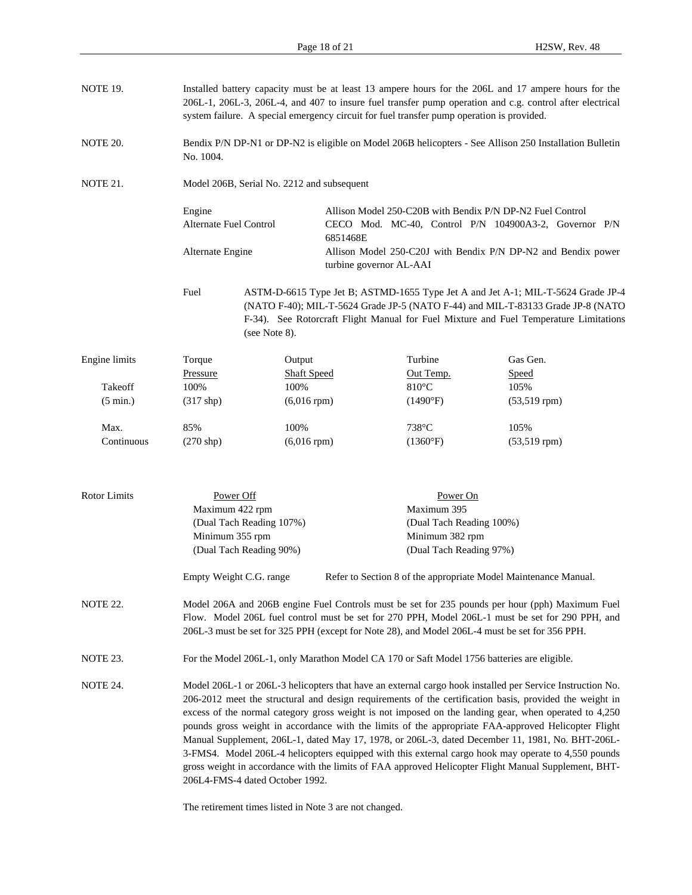| NOTE 19.            |                                                                                                                                                                                                                                                                                       | Installed battery capacity must be at least 13 ampere hours for the 206L and 17 ampere hours for the<br>206L-1, 206L-3, 206L-4, and 407 to insure fuel transfer pump operation and c.g. control after electrical<br>system failure. A special emergency circuit for fuel transfer pump operation is provided.                                                                                                                                                                                                                                                                                                                                                                                                                                                                                                                                        |                                                                                                                                |                                                                 |                                                                                                         |  |  |
|---------------------|---------------------------------------------------------------------------------------------------------------------------------------------------------------------------------------------------------------------------------------------------------------------------------------|------------------------------------------------------------------------------------------------------------------------------------------------------------------------------------------------------------------------------------------------------------------------------------------------------------------------------------------------------------------------------------------------------------------------------------------------------------------------------------------------------------------------------------------------------------------------------------------------------------------------------------------------------------------------------------------------------------------------------------------------------------------------------------------------------------------------------------------------------|--------------------------------------------------------------------------------------------------------------------------------|-----------------------------------------------------------------|---------------------------------------------------------------------------------------------------------|--|--|
| NOTE 20.            | No. 1004.                                                                                                                                                                                                                                                                             |                                                                                                                                                                                                                                                                                                                                                                                                                                                                                                                                                                                                                                                                                                                                                                                                                                                      |                                                                                                                                |                                                                 | Bendix P/N DP-N1 or DP-N2 is eligible on Model 206B helicopters - See Allison 250 Installation Bulletin |  |  |
| NOTE 21.            |                                                                                                                                                                                                                                                                                       | Model 206B, Serial No. 2212 and subsequent                                                                                                                                                                                                                                                                                                                                                                                                                                                                                                                                                                                                                                                                                                                                                                                                           |                                                                                                                                |                                                                 |                                                                                                         |  |  |
|                     | Engine<br>Alternate Fuel Control                                                                                                                                                                                                                                                      |                                                                                                                                                                                                                                                                                                                                                                                                                                                                                                                                                                                                                                                                                                                                                                                                                                                      | Allison Model 250-C20B with Bendix P/N DP-N2 Fuel Control<br>CECO Mod. MC-40, Control P/N 104900A3-2, Governor P/N<br>6851468E |                                                                 |                                                                                                         |  |  |
|                     | Alternate Engine                                                                                                                                                                                                                                                                      |                                                                                                                                                                                                                                                                                                                                                                                                                                                                                                                                                                                                                                                                                                                                                                                                                                                      | turbine governor AL-AAI                                                                                                        |                                                                 | Allison Model 250-C20J with Bendix P/N DP-N2 and Bendix power                                           |  |  |
|                     | Fuel<br>ASTM-D-6615 Type Jet B; ASTMD-1655 Type Jet A and Jet A-1; MIL-T-5624 Grade JP-4<br>(NATO F-40); MIL-T-5624 Grade JP-5 (NATO F-44) and MIL-T-83133 Grade JP-8 (NATO<br>F-34). See Rotorcraft Flight Manual for Fuel Mixture and Fuel Temperature Limitations<br>(see Note 8). |                                                                                                                                                                                                                                                                                                                                                                                                                                                                                                                                                                                                                                                                                                                                                                                                                                                      |                                                                                                                                |                                                                 |                                                                                                         |  |  |
| Engine limits       | Torque                                                                                                                                                                                                                                                                                | Output                                                                                                                                                                                                                                                                                                                                                                                                                                                                                                                                                                                                                                                                                                                                                                                                                                               |                                                                                                                                | Turbine                                                         | Gas Gen.                                                                                                |  |  |
|                     | Pressure                                                                                                                                                                                                                                                                              | <b>Shaft Speed</b>                                                                                                                                                                                                                                                                                                                                                                                                                                                                                                                                                                                                                                                                                                                                                                                                                                   |                                                                                                                                | Out Temp.                                                       | Speed                                                                                                   |  |  |
| Takeoff             | 100%                                                                                                                                                                                                                                                                                  | 100%                                                                                                                                                                                                                                                                                                                                                                                                                                                                                                                                                                                                                                                                                                                                                                                                                                                 |                                                                                                                                | $810^{\circ}$ C                                                 | 105%                                                                                                    |  |  |
| $(5 \text{ min.})$  | $(317$ shp)                                                                                                                                                                                                                                                                           | $(6,016$ rpm $)$                                                                                                                                                                                                                                                                                                                                                                                                                                                                                                                                                                                                                                                                                                                                                                                                                                     |                                                                                                                                | $(1490^{\circ}F)$                                               | $(53,519$ rpm $)$                                                                                       |  |  |
| Max.                | 85%                                                                                                                                                                                                                                                                                   | 100%                                                                                                                                                                                                                                                                                                                                                                                                                                                                                                                                                                                                                                                                                                                                                                                                                                                 |                                                                                                                                | 738°C                                                           | 105%                                                                                                    |  |  |
| Continuous          | $(270$ shp)                                                                                                                                                                                                                                                                           | $(6,016$ rpm $)$                                                                                                                                                                                                                                                                                                                                                                                                                                                                                                                                                                                                                                                                                                                                                                                                                                     |                                                                                                                                | (1360°F)                                                        | $(53,519$ rpm $)$                                                                                       |  |  |
| <b>Rotor Limits</b> | Power Off<br>Maximum 422 rpm<br>Minimum 355 rpm                                                                                                                                                                                                                                       | (Dual Tach Reading 107%)<br>(Dual Tach Reading 90%)                                                                                                                                                                                                                                                                                                                                                                                                                                                                                                                                                                                                                                                                                                                                                                                                  | Power On<br>Maximum 395<br>(Dual Tach Reading 100%)<br>Minimum 382 rpm<br>(Dual Tach Reading 97%)                              |                                                                 |                                                                                                         |  |  |
|                     | Empty Weight C.G. range                                                                                                                                                                                                                                                               |                                                                                                                                                                                                                                                                                                                                                                                                                                                                                                                                                                                                                                                                                                                                                                                                                                                      |                                                                                                                                | Refer to Section 8 of the appropriate Model Maintenance Manual. |                                                                                                         |  |  |
| <b>NOTE 22.</b>     |                                                                                                                                                                                                                                                                                       | Model 206A and 206B engine Fuel Controls must be set for 235 pounds per hour (pph) Maximum Fuel<br>Flow. Model 206L fuel control must be set for 270 PPH, Model 206L-1 must be set for 290 PPH, and<br>206L-3 must be set for 325 PPH (except for Note 28), and Model 206L-4 must be set for 356 PPH.                                                                                                                                                                                                                                                                                                                                                                                                                                                                                                                                                |                                                                                                                                |                                                                 |                                                                                                         |  |  |
| NOTE 23.            |                                                                                                                                                                                                                                                                                       |                                                                                                                                                                                                                                                                                                                                                                                                                                                                                                                                                                                                                                                                                                                                                                                                                                                      |                                                                                                                                |                                                                 | For the Model 206L-1, only Marathon Model CA 170 or Saft Model 1756 batteries are eligible.             |  |  |
| NOTE 24.            |                                                                                                                                                                                                                                                                                       | Model 206L-1 or 206L-3 helicopters that have an external cargo hook installed per Service Instruction No.<br>206-2012 meet the structural and design requirements of the certification basis, provided the weight in<br>excess of the normal category gross weight is not imposed on the landing gear, when operated to 4,250<br>pounds gross weight in accordance with the limits of the appropriate FAA-approved Helicopter Flight<br>Manual Supplement, 206L-1, dated May 17, 1978, or 206L-3, dated December 11, 1981, No. BHT-206L-<br>3-FMS4. Model 206L-4 helicopters equipped with this external cargo hook may operate to 4,550 pounds<br>gross weight in accordance with the limits of FAA approved Helicopter Flight Manual Supplement, BHT-<br>206L4-FMS-4 dated October 1992.<br>The retirement times listed in Note 3 are not changed. |                                                                                                                                |                                                                 |                                                                                                         |  |  |
|                     |                                                                                                                                                                                                                                                                                       |                                                                                                                                                                                                                                                                                                                                                                                                                                                                                                                                                                                                                                                                                                                                                                                                                                                      |                                                                                                                                |                                                                 |                                                                                                         |  |  |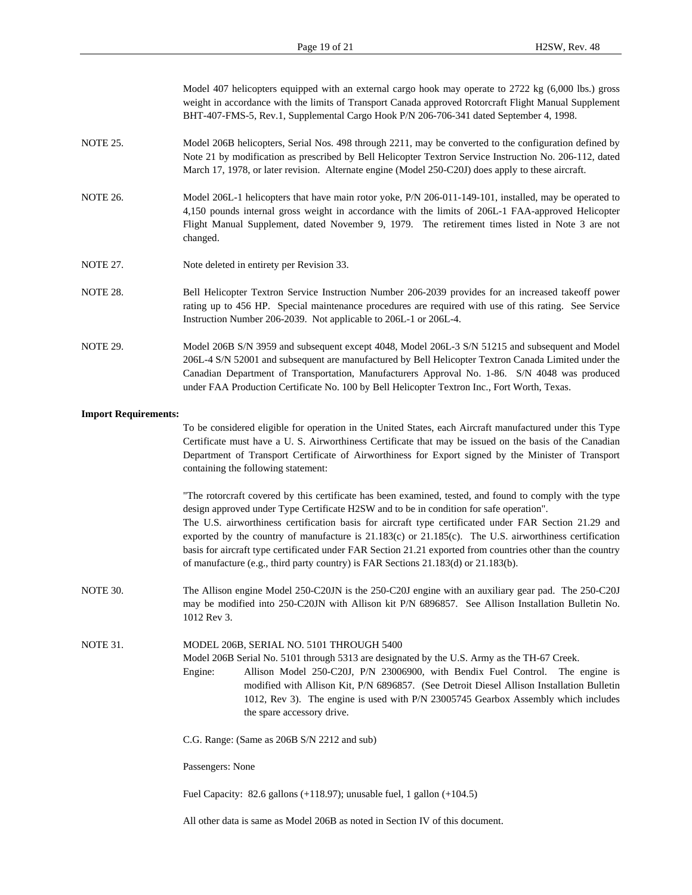| Model 407 helicopters equipped with an external cargo hook may operate to 2722 kg (6,000 lbs.) gross  |
|-------------------------------------------------------------------------------------------------------|
| weight in accordance with the limits of Transport Canada approved Rotorcraft Flight Manual Supplement |
| BHT-407-FMS-5, Rev.1, Supplemental Cargo Hook P/N 206-706-341 dated September 4, 1998.                |

- NOTE 25. Model 206B helicopters, Serial Nos. 498 through 2211, may be converted to the configuration defined by Note 21 by modification as prescribed by Bell Helicopter Textron Service Instruction No. 206-112, dated March 17, 1978, or later revision. Alternate engine (Model 250-C20J) does apply to these aircraft.
- NOTE 26. Model 206L-1 helicopters that have main rotor yoke, P/N 206-011-149-101, installed, may be operated to 4,150 pounds internal gross weight in accordance with the limits of 206L-1 FAA-approved Helicopter Flight Manual Supplement, dated November 9, 1979. The retirement times listed in Note 3 are not changed.
- NOTE 27. Note deleted in entirety per Revision 33.
- NOTE 28. Bell Helicopter Textron Service Instruction Number 206-2039 provides for an increased takeoff power rating up to 456 HP. Special maintenance procedures are required with use of this rating. See Service Instruction Number 206-2039. Not applicable to 206L-1 or 206L-4.
- NOTE 29. Model 206B S/N 3959 and subsequent except 4048, Model 206L-3 S/N 51215 and subsequent and Model 206L-4 S/N 52001 and subsequent are manufactured by Bell Helicopter Textron Canada Limited under the Canadian Department of Transportation, Manufacturers Approval No. 1-86. S/N 4048 was produced under FAA Production Certificate No. 100 by Bell Helicopter Textron Inc., Fort Worth, Texas.

#### **Import Requirements:**

To be considered eligible for operation in the United States, each Aircraft manufactured under this Type Certificate must have a U. S. Airworthiness Certificate that may be issued on the basis of the Canadian Department of Transport Certificate of Airworthiness for Export signed by the Minister of Transport containing the following statement:

"The rotorcraft covered by this certificate has been examined, tested, and found to comply with the type design approved under Type Certificate H2SW and to be in condition for safe operation". The U.S. airworthiness certification basis for aircraft type certificated under FAR Section 21.29 and exported by the country of manufacture is 21.183(c) or 21.185(c). The U.S. airworthiness certification basis for aircraft type certificated under FAR Section 21.21 exported from countries other than the country of manufacture (e.g., third party country) is FAR Sections 21.183(d) or 21.183(b).

NOTE 30. The Allison engine Model 250-C20JN is the 250-C20J engine with an auxiliary gear pad. The 250-C20J may be modified into 250-C20JN with Allison kit P/N 6896857. See Allison Installation Bulletin No. 1012 Rev 3.

NOTE 31. MODEL 206B, SERIAL NO. 5101 THROUGH 5400

Model 206B Serial No. 5101 through 5313 are designated by the U.S. Army as the TH-67 Creek.

- Engine: Allison Model 250-C20J, P/N 23006900, with Bendix Fuel Control. The engine is modified with Allison Kit, P/N 6896857. (See Detroit Diesel Allison Installation Bulletin 1012, Rev 3). The engine is used with P/N 23005745 Gearbox Assembly which includes the spare accessory drive.
	- C.G. Range: (Same as 206B S/N 2212 and sub)

Passengers: None

Fuel Capacity: 82.6 gallons (+118.97); unusable fuel, 1 gallon (+104.5)

All other data is same as Model 206B as noted in Section IV of this document.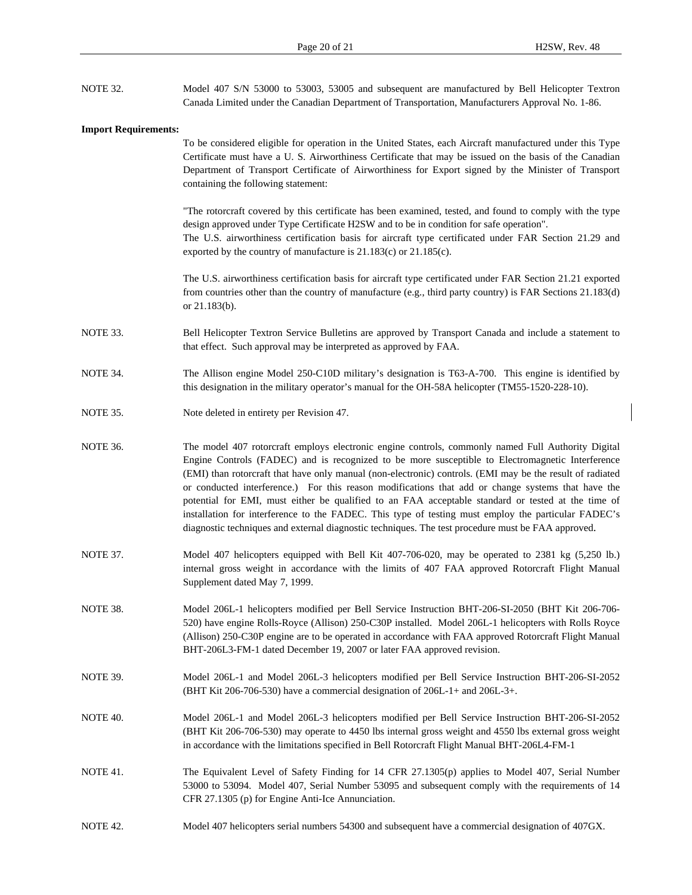| NOTE 32.                    | Model 407 S/N 53000 to 53003, 53005 and subsequent are manufactured by Bell Helicopter Textron<br>Canada Limited under the Canadian Department of Transportation, Manufacturers Approval No. 1-86.                                                                                                                                                                                                                                                                                                                                                                                                                                                                                                                                           |
|-----------------------------|----------------------------------------------------------------------------------------------------------------------------------------------------------------------------------------------------------------------------------------------------------------------------------------------------------------------------------------------------------------------------------------------------------------------------------------------------------------------------------------------------------------------------------------------------------------------------------------------------------------------------------------------------------------------------------------------------------------------------------------------|
|                             |                                                                                                                                                                                                                                                                                                                                                                                                                                                                                                                                                                                                                                                                                                                                              |
| <b>Import Requirements:</b> | To be considered eligible for operation in the United States, each Aircraft manufactured under this Type<br>Certificate must have a U.S. Airworthiness Certificate that may be issued on the basis of the Canadian<br>Department of Transport Certificate of Airworthiness for Export signed by the Minister of Transport<br>containing the following statement:                                                                                                                                                                                                                                                                                                                                                                             |
|                             | "The rotorcraft covered by this certificate has been examined, tested, and found to comply with the type<br>design approved under Type Certificate H2SW and to be in condition for safe operation".<br>The U.S. airworthiness certification basis for aircraft type certificated under FAR Section 21.29 and<br>exported by the country of manufacture is 21.183(c) or 21.185(c).                                                                                                                                                                                                                                                                                                                                                            |
|                             | The U.S. airworthiness certification basis for aircraft type certificated under FAR Section 21.21 exported<br>from countries other than the country of manufacture (e.g., third party country) is FAR Sections 21.183(d)<br>or $21.183(b)$ .                                                                                                                                                                                                                                                                                                                                                                                                                                                                                                 |
| NOTE 33.                    | Bell Helicopter Textron Service Bulletins are approved by Transport Canada and include a statement to<br>that effect. Such approval may be interpreted as approved by FAA.                                                                                                                                                                                                                                                                                                                                                                                                                                                                                                                                                                   |
| NOTE 34.                    | The Allison engine Model 250-C10D military's designation is T63-A-700. This engine is identified by<br>this designation in the military operator's manual for the OH-58A helicopter (TM55-1520-228-10).                                                                                                                                                                                                                                                                                                                                                                                                                                                                                                                                      |
| NOTE 35.                    | Note deleted in entirety per Revision 47.                                                                                                                                                                                                                                                                                                                                                                                                                                                                                                                                                                                                                                                                                                    |
| NOTE 36.                    | The model 407 rotorcraft employs electronic engine controls, commonly named Full Authority Digital<br>Engine Controls (FADEC) and is recognized to be more susceptible to Electromagnetic Interference<br>(EMI) than rotorcraft that have only manual (non-electronic) controls. (EMI may be the result of radiated<br>or conducted interference.) For this reason modifications that add or change systems that have the<br>potential for EMI, must either be qualified to an FAA acceptable standard or tested at the time of<br>installation for interference to the FADEC. This type of testing must employ the particular FADEC's<br>diagnostic techniques and external diagnostic techniques. The test procedure must be FAA approved. |
| NOTE 37.                    | Model 407 helicopters equipped with Bell Kit 407-706-020, may be operated to 2381 kg (5,250 lb.)<br>internal gross weight in accordance with the limits of 407 FAA approved Rotorcraft Flight Manual<br>Supplement dated May 7, 1999.                                                                                                                                                                                                                                                                                                                                                                                                                                                                                                        |
| NOTE 38.                    | Model 206L-1 helicopters modified per Bell Service Instruction BHT-206-SI-2050 (BHT Kit 206-706-<br>520) have engine Rolls-Royce (Allison) 250-C30P installed. Model 206L-1 helicopters with Rolls Royce<br>(Allison) 250-C30P engine are to be operated in accordance with FAA approved Rotorcraft Flight Manual<br>BHT-206L3-FM-1 dated December 19, 2007 or later FAA approved revision.                                                                                                                                                                                                                                                                                                                                                  |
| NOTE 39.                    | Model 206L-1 and Model 206L-3 helicopters modified per Bell Service Instruction BHT-206-SI-2052<br>(BHT Kit 206-706-530) have a commercial designation of 206L-1+ and 206L-3+.                                                                                                                                                                                                                                                                                                                                                                                                                                                                                                                                                               |
| NOTE 40.                    | Model 206L-1 and Model 206L-3 helicopters modified per Bell Service Instruction BHT-206-SI-2052<br>(BHT Kit 206-706-530) may operate to 4450 lbs internal gross weight and 4550 lbs external gross weight<br>in accordance with the limitations specified in Bell Rotorcraft Flight Manual BHT-206L4-FM-1                                                                                                                                                                                                                                                                                                                                                                                                                                    |
| NOTE 41.                    | The Equivalent Level of Safety Finding for 14 CFR 27.1305(p) applies to Model 407, Serial Number<br>53000 to 53094. Model 407, Serial Number 53095 and subsequent comply with the requirements of 14<br>CFR 27.1305 (p) for Engine Anti-Ice Annunciation.                                                                                                                                                                                                                                                                                                                                                                                                                                                                                    |

NOTE 42. Model 407 helicopters serial numbers 54300 and subsequent have a commercial designation of 407GX.